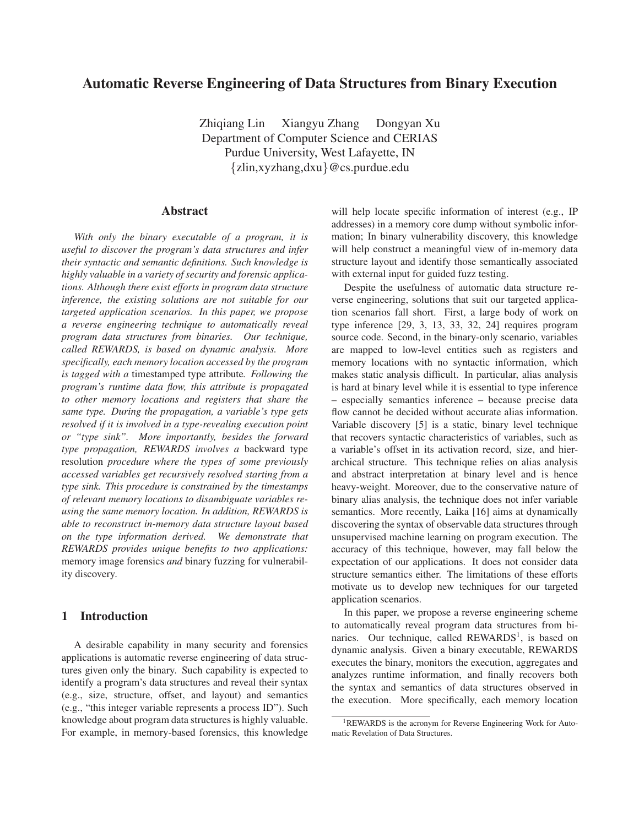# **Automatic Reverse Engineering of Data Structures from Binary Execution**

Zhiqiang Lin Xiangyu Zhang Dongyan Xu Department of Computer Science and CERIAS Purdue University, West Lafayette, IN {zlin,xyzhang,dxu}@cs.purdue.edu

### **Abstract**

*With only the binary executable of a program, it is useful to discover the program's data structures and infer their syntactic and semantic definitions. Such knowledge is highly valuable in a variety of security and forensic applications. Although there exist efforts in program data structure inference, the existing solutions are not suitable for our targeted application scenarios. In this paper, we propose a reverse engineering technique to automatically reveal program data structures from binaries. Our technique, called REWARDS, is based on dynamic analysis. More specifically, each memory location accessed by the program is tagged with a* timestamped type attribute*. Following the program's runtime data flow, this attribute is propagated to other memory locations and registers that share the same type. During the propagation, a variable's type gets resolved if it is involved in a type-revealing execution point or "type sink". More importantly, besides the forward type propagation, REWARDS involves a* backward type resolution *procedure where the types of some previously accessed variables get recursively resolved starting from a type sink. This procedure is constrained by the timestamps of relevant memory locations to disambiguate variables reusing the same memory location. In addition, REWARDS is able to reconstruct in-memory data structure layout based on the type information derived. We demonstrate that REWARDS provides unique benefits to two applications:* memory image forensics *and* binary fuzzing for vulnerability discovery*.*

## **1 Introduction**

A desirable capability in many security and forensics applications is automatic reverse engineering of data structures given only the binary. Such capability is expected to identify a program's data structures and reveal their syntax (e.g., size, structure, offset, and layout) and semantics (e.g., "this integer variable represents a process ID"). Such knowledge about program data structures is highly valuable. For example, in memory-based forensics, this knowledge

will help locate specific information of interest (e.g., IP addresses) in a memory core dump without symbolic information; In binary vulnerability discovery, this knowledge will help construct a meaningful view of in-memory data structure layout and identify those semantically associated with external input for guided fuzz testing.

Despite the usefulness of automatic data structure reverse engineering, solutions that suit our targeted application scenarios fall short. First, a large body of work on type inference [29, 3, 13, 33, 32, 24] requires program source code. Second, in the binary-only scenario, variables are mapped to low-level entities such as registers and memory locations with no syntactic information, which makes static analysis difficult. In particular, alias analysis is hard at binary level while it is essential to type inference – especially semantics inference – because precise data flow cannot be decided without accurate alias information. Variable discovery [5] is a static, binary level technique that recovers syntactic characteristics of variables, such as a variable's offset in its activation record, size, and hierarchical structure. This technique relies on alias analysis and abstract interpretation at binary level and is hence heavy-weight. Moreover, due to the conservative nature of binary alias analysis, the technique does not infer variable semantics. More recently, Laika [16] aims at dynamically discovering the syntax of observable data structures through unsupervised machine learning on program execution. The accuracy of this technique, however, may fall below the expectation of our applications. It does not consider data structure semantics either. The limitations of these efforts motivate us to develop new techniques for our targeted application scenarios.

In this paper, we propose a reverse engineering scheme to automatically reveal program data structures from binaries. Our technique, called REWARDS<sup>1</sup>, is based on dynamic analysis. Given a binary executable, REWARDS executes the binary, monitors the execution, aggregates and analyzes runtime information, and finally recovers both the syntax and semantics of data structures observed in the execution. More specifically, each memory location

<sup>1</sup>REWARDS is the acronym for Reverse Engineering Work for Automatic Revelation of Data Structures.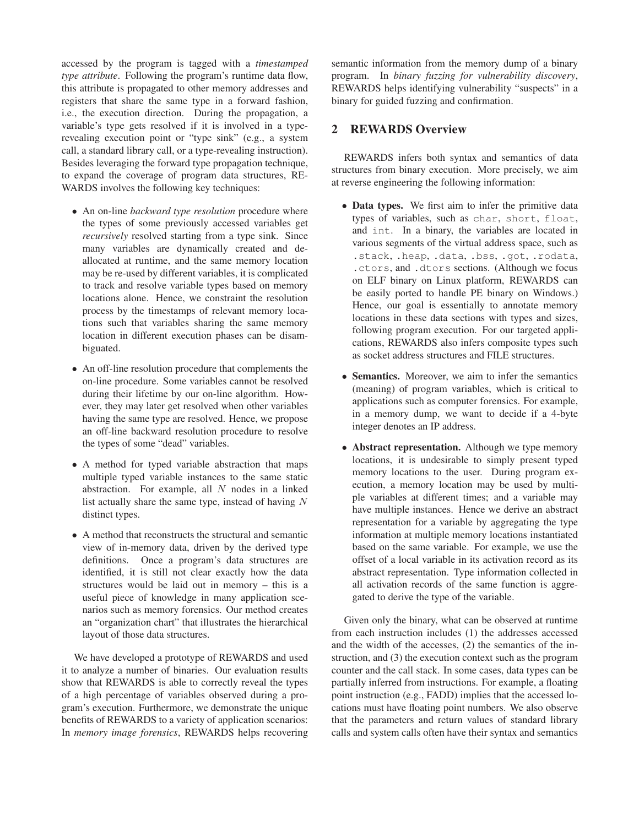accessed by the program is tagged with a *timestamped type attribute*. Following the program's runtime data flow, this attribute is propagated to other memory addresses and registers that share the same type in a forward fashion, i.e., the execution direction. During the propagation, a variable's type gets resolved if it is involved in a typerevealing execution point or "type sink" (e.g., a system call, a standard library call, or a type-revealing instruction). Besides leveraging the forward type propagation technique, to expand the coverage of program data structures, RE-WARDS involves the following key techniques:

- An on-line *backward type resolution* procedure where the types of some previously accessed variables get *recursively* resolved starting from a type sink. Since many variables are dynamically created and deallocated at runtime, and the same memory location may be re-used by different variables, it is complicated to track and resolve variable types based on memory locations alone. Hence, we constraint the resolution process by the timestamps of relevant memory locations such that variables sharing the same memory location in different execution phases can be disambiguated.
- An off-line resolution procedure that complements the on-line procedure. Some variables cannot be resolved during their lifetime by our on-line algorithm. However, they may later get resolved when other variables having the same type are resolved. Hence, we propose an off-line backward resolution procedure to resolve the types of some "dead" variables.
- A method for typed variable abstraction that maps multiple typed variable instances to the same static abstraction. For example, all  $N$  nodes in a linked list actually share the same type, instead of having  $N$ distinct types.
- A method that reconstructs the structural and semantic view of in-memory data, driven by the derived type definitions. Once a program's data structures are identified, it is still not clear exactly how the data structures would be laid out in memory – this is a useful piece of knowledge in many application scenarios such as memory forensics. Our method creates an "organization chart" that illustrates the hierarchical layout of those data structures.

We have developed a prototype of REWARDS and used it to analyze a number of binaries. Our evaluation results show that REWARDS is able to correctly reveal the types of a high percentage of variables observed during a program's execution. Furthermore, we demonstrate the unique benefits of REWARDS to a variety of application scenarios: In *memory image forensics*, REWARDS helps recovering semantic information from the memory dump of a binary program. In *binary fuzzing for vulnerability discovery*, REWARDS helps identifying vulnerability "suspects" in a binary for guided fuzzing and confirmation.

## **2 REWARDS Overview**

REWARDS infers both syntax and semantics of data structures from binary execution. More precisely, we aim at reverse engineering the following information:

- **Data types.** We first aim to infer the primitive data types of variables, such as char, short, float, and int. In a binary, the variables are located in various segments of the virtual address space, such as .stack, .heap, .data, .bss, .got, .rodata, .ctors, and .dtors sections. (Although we focus on ELF binary on Linux platform, REWARDS can be easily ported to handle PE binary on Windows.) Hence, our goal is essentially to annotate memory locations in these data sections with types and sizes, following program execution. For our targeted applications, REWARDS also infers composite types such as socket address structures and FILE structures.
- **Semantics.** Moreover, we aim to infer the semantics (meaning) of program variables, which is critical to applications such as computer forensics. For example, in a memory dump, we want to decide if a 4-byte integer denotes an IP address.
- **Abstract representation.** Although we type memory locations, it is undesirable to simply present typed memory locations to the user. During program execution, a memory location may be used by multiple variables at different times; and a variable may have multiple instances. Hence we derive an abstract representation for a variable by aggregating the type information at multiple memory locations instantiated based on the same variable. For example, we use the offset of a local variable in its activation record as its abstract representation. Type information collected in all activation records of the same function is aggregated to derive the type of the variable.

Given only the binary, what can be observed at runtime from each instruction includes (1) the addresses accessed and the width of the accesses, (2) the semantics of the instruction, and (3) the execution context such as the program counter and the call stack. In some cases, data types can be partially inferred from instructions. For example, a floating point instruction (e.g., FADD) implies that the accessed locations must have floating point numbers. We also observe that the parameters and return values of standard library calls and system calls often have their syntax and semantics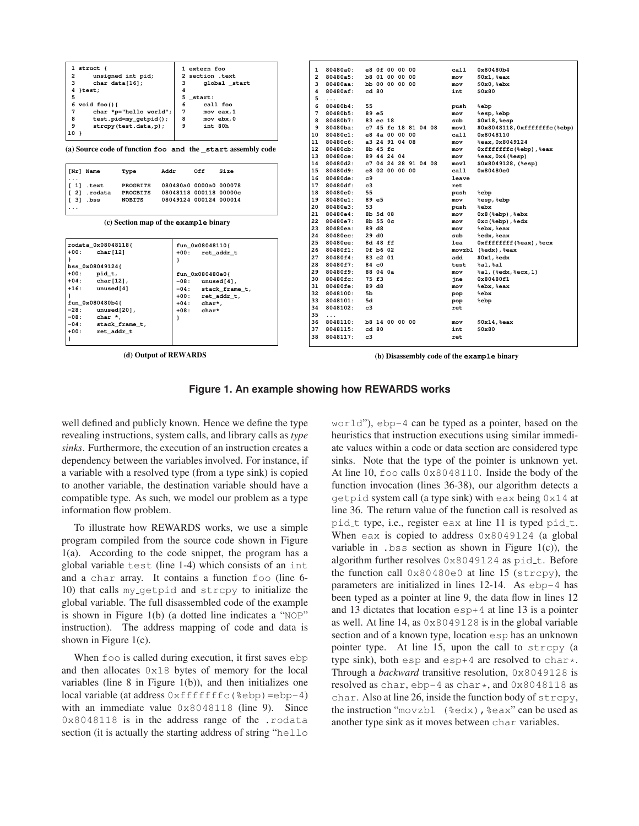| $1$ struct {                                                 | 1 extern foo                  | $\mathbf{1}$   | 80480a0: | e8 Of 00 00 00        | call   | 0x80480b4                    |
|--------------------------------------------------------------|-------------------------------|----------------|----------|-----------------------|--------|------------------------------|
| $\overline{a}$<br>unsigned int pid;                          | section .text<br>$\mathbf{2}$ | $\overline{2}$ | 80480a5: | <b>b8 01 00 00 00</b> | mov    | \$0x1, \$eax                 |
| 3<br>char $data[16]$ ;                                       | global start<br>3             | 3              | 80480aa: | bb 00 00 00 00        | mov    | $$0x0,$ $%$ ebx              |
| 4 }test;                                                     | 4                             | 4              | 80480af: | cd80                  | int    | \$0x80                       |
| 5                                                            | 5<br>start:                   | 5              | $\cdots$ |                       |        |                              |
| 6<br>void $foo()$                                            | 6<br>call foo                 | 6              | 80480b4: | 55                    | push   | %ebp                         |
| $7\phantom{.0}$<br>char *p="hello world";                    | $7\phantom{.0}$<br>mov eax, 1 | 7              | 80480b5: | 89 e5                 | mov    | %esp, %ebp                   |
| 8<br>test.pid=my_getpid();                                   | 8<br>mov ebx, 0               | 8              | 80480b7: | 83 ec 18              | sub    | $$0x18,$ sesp                |
| 9<br>strcpy(test.data, p);                                   | int 80h<br>9                  | 9              | 80480ba: | c7 45 fc 18 81 04 08  | movl   | \$0x8048118,0xfffffffc(%ebp) |
| $10$ }                                                       |                               | 10             | 80480c1: | e8 4a 00 00 00        | call   | 0x8048110                    |
|                                                              |                               | 11             | 80480c6: | a3 24 91 04 08        | mov    | %eax, 0x8049124              |
| (a) Source code of function foo and the _start assembly code |                               | 12             | 80480cb: | 8b 45 fc              | mov    | Oxfffffffc(%ebp),%eax        |
|                                                              |                               | 13             | 80480ce: | 89 44 24 04           | mov    | %eax, 0x4 (%esp)             |
|                                                              |                               | 14             | 80480d2: | c7 04 24 28 91 04 08  | mov1   | $$0x8049128,$ (%esp)         |
| [Nr] Name<br>Addr<br>Type                                    | Off<br>Size                   | 15             | 80480d9: | e8 02 00 00 00        | call   | 0x80480e0                    |
| $\cdots$                                                     |                               | 16             | 80480de: | c9                    | leave  |                              |
| <b>PROGBITS</b><br>[1]<br>.text                              | 080480a0 0000a0 000078        | 17             | 80480df: | c3                    | ret    |                              |
| [2]<br><b>PROGBITS</b><br>.rodata                            | 08048118 000118 00000c        | 18             | 80480e0: | 55                    | push   | %ebp                         |
| [3]<br>.bss<br><b>NOBITS</b>                                 | 08049124 000124 000014        | 19             | 80480e1: | 89 e5                 | mov    | %esp, %ebp                   |
| .                                                            |                               | 20             | 80480e3: | 53                    | push   | %ebx                         |
|                                                              |                               | 21             | 80480e4: | 8b 5d 08              | mov    | $0x8$ ( $%$ ebp), $%$ ebx    |
| (c) Section map of the example binary                        |                               | 22             | 80480e7: | 8b 55 0c              | mov    | $0xc$ ( $%$ ebp), $%$ edx    |
|                                                              |                               | 23             | 80480ea: | 89 d8                 | mov    | %ebx, %eax                   |
|                                                              |                               | 24             | 80480ec: | 29 d0                 | sub    | %edx, %eax                   |
| rodata 0x08048118{                                           | fun 0x08048110{               | 25             | 80480ee: | 8d 48 ff              | lea    | Oxffffffff (%eax), %ecx      |
| $+00:$<br>char[12]                                           | $+00:$<br>ret addr t          | 26             | 80480f1: | 0f b6 02              | movzbl | (%edx), %eax                 |
|                                                              | J.                            | 27             | 80480f4: | 83 c2 01              | add    | \$0x1, %edx                  |
| bss 0x08049124{                                              |                               | 28             | 80480f7: | 84 c0                 | test   | $\$a1$ , $\$a1$              |
| $+00:$<br>pid t,                                             | fun 0x080480e0{               | 29             | 80480f9: | 88 04 0a              | mov    | %al, (%edx, %ecx, 1)         |
| $+04:$<br>$char[12]$ ,                                       | $-08:$<br>unused[4],          | 30             | 80480fc: | 75 f3                 | ine    | 0x80480f1                    |
| $+16:$<br>unused[4]                                          | $-04:$<br>stack_frame_t,      | 31             | 80480fe: | 89 d8                 | mov    | %ebx, %eax                   |
|                                                              | $+00:$<br>ret addr t,         | 32             | 8048100: | 5b                    | pop    | <b>&amp;ebx</b>              |
| fun 0x080480b4{                                              | $+04:$<br>char*.              | 33             | 8048101: | 5d                    | pop    | %ebp                         |
| $-28:$<br>unused[20],                                        | $+08:$<br>char*               | 34             | 8048102: | $_{c3}$               | ret    |                              |
| $-08:$<br>char *,                                            | ł                             | 35             | $\cdots$ |                       |        |                              |
| $-04:$<br>stack frame t,                                     |                               | 36             | 8048110: | <b>b8 14 00 00 00</b> | mov    | \$0x14, \$eax                |
| $+00:$<br>ret addr t                                         |                               | 37             | 8048115: | cd80                  | int    | \$0x80                       |
| Η.                                                           |                               | 38             | 8048117: | c3                    | ret    |                              |
|                                                              |                               |                |          |                       |        |                              |

**(d) Output of REWARDS**

**(b) Disassembly code of the example binary**

### **Figure 1. An example showing how REWARDS works**

well defined and publicly known. Hence we define the type revealing instructions, system calls, and library calls as *type sinks*. Furthermore, the execution of an instruction creates a dependency between the variables involved. For instance, if a variable with a resolved type (from a type sink) is copied to another variable, the destination variable should have a compatible type. As such, we model our problem as a type information flow problem.

To illustrate how REWARDS works, we use a simple program compiled from the source code shown in Figure 1(a). According to the code snippet, the program has a global variable test (line 1-4) which consists of an int and a char array. It contains a function foo (line 6- 10) that calls my getpid and strcpy to initialize the global variable. The full disassembled code of the example is shown in Figure 1(b) (a dotted line indicates a "NOP" instruction). The address mapping of code and data is shown in Figure  $1(c)$ .

When foo is called during execution, it first saves ebp. and then allocates 0x18 bytes of memory for the local variables (line  $8$  in Figure 1(b)), and then initializes one  $local variable (at address 0xfffffffc({%ebp})=ebp-4)$ with an immediate value  $0 \times 8048118$  (line 9). Since 0x8048118 is in the address range of the .rodata section (it is actually the starting address of string "hello world"), ebp-4 can be typed as a pointer, based on the heuristics that instruction executions using similar immediate values within a code or data section are considered type sinks. Note that the type of the pointer is unknown yet. At line 10, foo calls 0x8048110. Inside the body of the function invocation (lines 36-38), our algorithm detects a getpid system call (a type sink) with eax being 0x14 at line 36. The return value of the function call is resolved as pid t type, i.e., register eax at line 11 is typed pid t. When eax is copied to address  $0 \times 8049124$  (a global variable in  $\lambda$  bss section as shown in Figure 1(c)), the algorithm further resolves 0x8049124 as pid\_t. Before the function call 0x80480e0 at line 15 (strcpy), the parameters are initialized in lines 12-14. As ebp-4 has been typed as a pointer at line 9, the data flow in lines 12 and 13 dictates that location esp+4 at line 13 is a pointer as well. At line 14, as 0x8049128 is in the global variable section and of a known type, location esp has an unknown pointer type. At line 15, upon the call to strcpy (a type sink), both esp and esp $+4$  are resolved to char $\star$ . Through a *backward* transitive resolution, 0x8049128 is resolved as char,  $ebp-4$  as char\*, and  $0 \times 8048118$  as char. Also at line 26, inside the function body of strcpy, the instruction "movzbl (%edx),%eax" can be used as another type sink as it moves between char variables.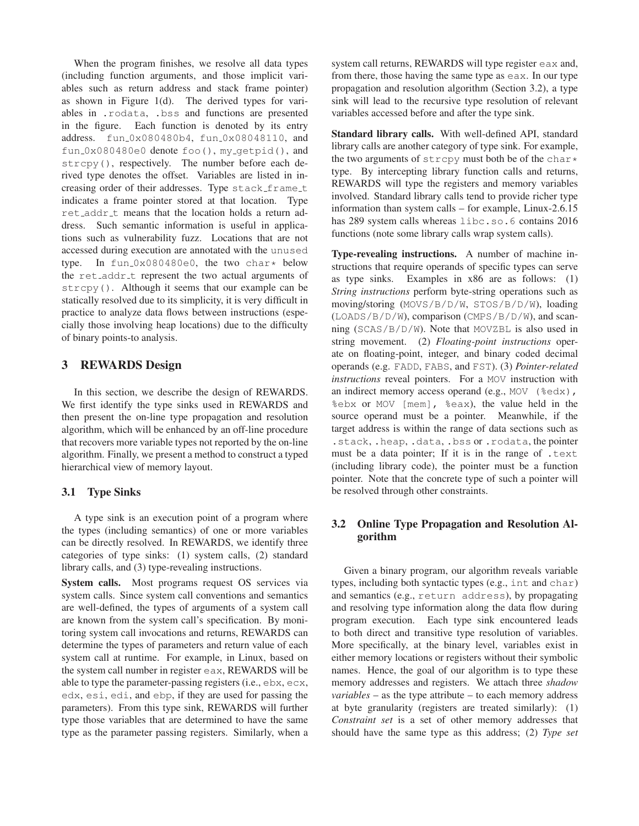When the program finishes, we resolve all data types (including function arguments, and those implicit variables such as return address and stack frame pointer) as shown in Figure 1(d). The derived types for variables in .rodata, .bss and functions are presented in the figure. Each function is denoted by its entry address. fun 0x080480b4, fun 0x08048110, and fun 0x080480e0 denote foo(), my getpid(), and strcpy(), respectively. The number before each derived type denotes the offset. Variables are listed in increasing order of their addresses. Type stack frame t indicates a frame pointer stored at that location. Type ret addr t means that the location holds a return address. Such semantic information is useful in applications such as vulnerability fuzz. Locations that are not accessed during execution are annotated with the unused type. In fun\_0x080480e0, the two char\* below the ret<sub>-addr-t</sub> represent the two actual arguments of strcpy(). Although it seems that our example can be statically resolved due to its simplicity, it is very difficult in practice to analyze data flows between instructions (especially those involving heap locations) due to the difficulty of binary points-to analysis.

## **3 REWARDS Design**

In this section, we describe the design of REWARDS. We first identify the type sinks used in REWARDS and then present the on-line type propagation and resolution algorithm, which will be enhanced by an off-line procedure that recovers more variable types not reported by the on-line algorithm. Finally, we present a method to construct a typed hierarchical view of memory layout.

### **3.1 Type Sinks**

A type sink is an execution point of a program where the types (including semantics) of one or more variables can be directly resolved. In REWARDS, we identify three categories of type sinks: (1) system calls, (2) standard library calls, and (3) type-revealing instructions.

**System calls.** Most programs request OS services via system calls. Since system call conventions and semantics are well-defined, the types of arguments of a system call are known from the system call's specification. By monitoring system call invocations and returns, REWARDS can determine the types of parameters and return value of each system call at runtime. For example, in Linux, based on the system call number in register eax, REWARDS will be able to type the parameter-passing registers (i.e., ebx, ecx, edx, esi, edi, and ebp, if they are used for passing the parameters). From this type sink, REWARDS will further type those variables that are determined to have the same type as the parameter passing registers. Similarly, when a

system call returns, REWARDS will type register eax and, from there, those having the same type as eax. In our type propagation and resolution algorithm (Section 3.2), a type sink will lead to the recursive type resolution of relevant variables accessed before and after the type sink.

**Standard library calls.** With well-defined API, standard library calls are another category of type sink. For example, the two arguments of  $\text{stropy}$  must both be of the char $\star$ type. By intercepting library function calls and returns, REWARDS will type the registers and memory variables involved. Standard library calls tend to provide richer type information than system calls – for example, Linux-2.6.15 has 289 system calls whereas libc.so.6 contains 2016 functions (note some library calls wrap system calls).

**Type-revealing instructions.** A number of machine instructions that require operands of specific types can serve as type sinks. Examples in x86 are as follows: (1) *String instructions* perform byte-string operations such as moving/storing (MOVS/B/D/W, STOS/B/D/W), loading (LOADS/B/D/W), comparison (CMPS/B/D/W), and scanning (SCAS/B/D/W). Note that MOVZBL is also used in string movement. (2) *Floating-point instructions* operate on floating-point, integer, and binary coded decimal operands (e.g. FADD, FABS, and FST). (3) *Pointer-related instructions* reveal pointers. For a MOV instruction with an indirect memory access operand (e.g., MOV  $($  % edx), %ebx or MOV [mem], %eax), the value held in the source operand must be a pointer. Meanwhile, if the target address is within the range of data sections such as .stack, .heap, .data, .bss or .rodata, the pointer must be a data pointer; If it is in the range of .text (including library code), the pointer must be a function pointer. Note that the concrete type of such a pointer will be resolved through other constraints.

## **3.2 Online Type Propagation and Resolution Algorithm**

Given a binary program, our algorithm reveals variable types, including both syntactic types (e.g., int and char) and semantics (e.g., return address), by propagating and resolving type information along the data flow during program execution. Each type sink encountered leads to both direct and transitive type resolution of variables. More specifically, at the binary level, variables exist in either memory locations or registers without their symbolic names. Hence, the goal of our algorithm is to type these memory addresses and registers. We attach three *shadow variables* – as the type attribute – to each memory address at byte granularity (registers are treated similarly): (1) *Constraint set* is a set of other memory addresses that should have the same type as this address; (2) *Type set*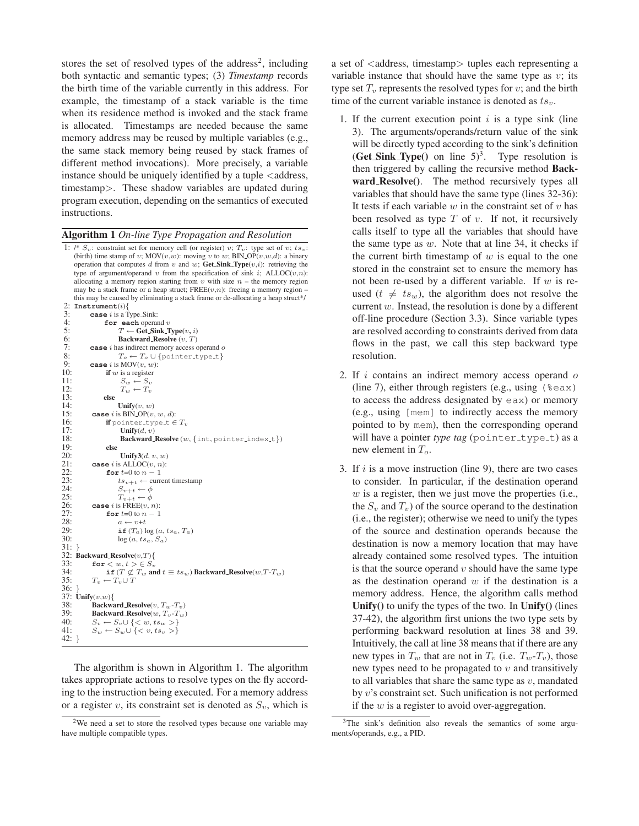stores the set of resolved types of the address<sup>2</sup>, including both syntactic and semantic types; (3) *Timestamp* records the birth time of the variable currently in this address. For example, the timestamp of a stack variable is the time when its residence method is invoked and the stack frame is allocated. Timestamps are needed because the same memory address may be reused by multiple variables (e.g., the same stack memory being reused by stack frames of different method invocations). More precisely, a variable instance should be uniquely identified by a tuple  $\leq$  address, timestamp>. These shadow variables are updated during program execution, depending on the semantics of executed instructions.

#### **Algorithm 1** *On-line Type Propagation and Resolution*

1: /\*  $S_v$ : constraint set for memory cell (or register) v;  $T_v$ : type set of v; ts<sub>v</sub>: (birth) time stamp of v;  $MOV(v,w)$ : moving v to w; BIN  $OP(v,w,d)$ : a binary operation that computes d from v and w;  $\overline{\text{Get\_Sink}}$  **Type** $(v,i)$ : retrieving the type of argument/operand v from the specification of sink i; ALLOC( $v,n$ ): allocating a memory region starting from  $v$  with size  $n -$  the memory region may be a stack frame or a heap struct; FREE( $v,n$ ): freeing a memory region – this may be caused by eliminating a stack frame or de-allocating a heap struct\*/ 2:  $\text{Instrument}(i)$ {<br>3:  $\text{case } i \text{ is a T}$ 3: **case** *i* is a Type-Sink:<br>4: **for each operally**<br>5:  $T \leftarrow \text{Get-Sin}$ for each operand v 5:  $T \leftarrow \textbf{Get.Sink}. \text{Type}(v, i)$ <br>
6: **Backward.Resolve**  $(v, T)$ <br>
7: **case** *i* has indirect memory access o<br>
8:  $T_o \leftarrow T_o \cup \{\text{pointer.t.}\}$ 6: **Backward Resolve** (v, T)  $\texttt{case}\ i$  has indirect memory access operand  $o$ 8:  $T_o \leftarrow T_o \cup \{\text{pointer_type_t}\}\$ <br>9: case *i* is MOV $(v, w)$ : 9: **case** *i* is MOV $(v, w)$ :<br>10: **if** *w* is a register 10: **if** w is a register 11:  $S_w \leftarrow S_v$ 11:  $S_w \leftarrow S_v$ <br>12:  $T_w \leftarrow T_w$ 12:  $T_w \leftarrow T_v$ <br>13: **else** 13: **else** 14: **Unify** $(v, w)$ <br>15: **case** *i* is BIN\_OP $(v, w)$ 15: **case** *i* is BIN\_OP(*v*, *w*, *d*):<br>16: **if** pointer\_type\_t  $\in$ 16: **if** pointer\_type\_t  $\in T_v$ <br>17: **Unify** $(d, v)$ 17: **Unify** $(d, v)$ <br>
18: **Backward** 19: **else** Backward\_Resolve (w, {int, pointer\_index\_t}) 19: **else** 20: **Unify** $3(d, v, w)$ <br>21: **case** *i* is ALLOC $(v, n)$ : 21: **case** *i* is ALLOC(*v*, *n*):<br>22: **for**  $t=0$  to  $n-1$ 22: **for**  $t=0$  to  $n-1$ <br>
23:  $ts_{v+t} \leftarrow \text{curr}$ <br>
24:  $S_{v+t} \leftarrow \phi$  $ts_{v+t} \leftarrow$  current timestamp 24:  $S_{v+t} \leftarrow \phi$ <br>25:  $T_{v+t} \leftarrow \phi$ 25:  $T_{v+t} \leftarrow \phi$ <br>26: case *i* is FREE(*v*, *r* 26: **case** *i* is  $\text{FREE}(v, n)$ :<br>27: **for**  $t=0$  to  $n-1$ 27: **for**  $t=0$  to  $n-1$ <br>
28:  $a \leftarrow v+t$ <br>
29: **if**  $(T_a) \log(a)$  $a \leftarrow v+t$ 29: **if**  $(T_a) \log (a, ts_a, T_a)$ <br>30:  $\log (a, ts_a, S_a)$  $log (a, ts_a, S_a)$ 31: } 32: **Backward\_Resolve** $(v,T)$ {<br>33: **for**  $\lt w, t > \in S_v$ 33: **for**  $\lt w, t \gt \in S_v$ <br>34: **if**  $(T \not\subset T_w$  and 34: **if**  $(T \nsubseteq T_w$  **and**  $t \equiv ts_w)$  **Backward\_Resolve** $(w, T \cdot T_w)$ <br>35:  $T_v \leftarrow T_v \cup T$  $T_v \leftarrow T_v \cup T$ 36: } 37:  $\text{Unify}(v, w)$ {<br>38: **Backwa** 38: **Backward\_Resolve** $(v, T_w - T_v)$ <br>39: **Backward\_Resolve** $(w, T_v - T_w)$ 39: **Backward\_Resolve** $(w, T_v-T_w)$ <br>40:  $S_v \leftarrow S_v \cup \{< w, ts_w > \}$ 40:  $S_v \leftarrow S_v \cup \{< w, ts_w >\}$ <br>41:  $S_w \leftarrow S_w \cup \{< v, ts_v >\}$  $S_w \leftarrow S_w \cup \{ \langle v, ts_v \rangle \}$ 42: }

The algorithm is shown in Algorithm 1. The algorithm takes appropriate actions to resolve types on the fly according to the instruction being executed. For a memory address or a register v, its constraint set is denoted as  $S_v$ , which is a set of <address, timestamp> tuples each representing a variable instance that should have the same type as  $v$ ; its type set  $T_v$  represents the resolved types for v; and the birth time of the current variable instance is denoted as  $ts_v$ .

- 1. If the current execution point  $i$  is a type sink (line 3). The arguments/operands/return value of the sink will be directly typed according to the sink's definition  $(Get\_Sink\_Type()$  on line  $5)^3$ . Type resolution is then triggered by calling the recursive method **Backward Resolve()**. The method recursively types all variables that should have the same type (lines 32-36): It tests if each variable  $w$  in the constraint set of  $v$  has been resolved as type  $T$  of  $v$ . If not, it recursively calls itself to type all the variables that should have the same type as  $w$ . Note that at line 34, it checks if the current birth timestamp of  $w$  is equal to the one stored in the constraint set to ensure the memory has not been re-used by a different variable. If  $w$  is reused ( $t \neq ts_w$ ), the algorithm does not resolve the current  $w$ . Instead, the resolution is done by a different off-line procedure (Section 3.3). Since variable types are resolved according to constraints derived from data flows in the past, we call this step backward type resolution.
- 2. If  $i$  contains an indirect memory access operand  $o$ (line 7), either through registers (e.g., using  $(*\infty)$ ) to access the address designated by eax) or memory (e.g., using [mem] to indirectly access the memory pointed to by mem), then the corresponding operand will have a pointer *type tag* (pointer\_type\_t) as a new element in  $T<sub>o</sub>$ .
- 3. If  $i$  is a move instruction (line 9), there are two cases to consider. In particular, if the destination operand  $w$  is a register, then we just move the properties (i.e., the  $S_v$  and  $T_v$ ) of the source operand to the destination (i.e., the register); otherwise we need to unify the types of the source and destination operands because the destination is now a memory location that may have already contained some resolved types. The intuition is that the source operand  $v$  should have the same type as the destination operand  $w$  if the destination is a memory address. Hence, the algorithm calls method **Unify()** to unify the types of the two. In **Unify()** (lines 37-42), the algorithm first unions the two type sets by performing backward resolution at lines 38 and 39. Intuitively, the call at line 38 means that if there are any new types in  $T_w$  that are not in  $T_v$  (i.e.  $T_w$ - $T_v$ ), those new types need to be propagated to  $v$  and transitively to all variables that share the same type as  $v$ , mandated by v's constraint set. Such unification is not performed if the  $w$  is a register to avoid over-aggregation.

<sup>&</sup>lt;sup>2</sup>We need a set to store the resolved types because one variable may have multiple compatible types.

<sup>&</sup>lt;sup>3</sup>The sink's definition also reveals the semantics of some arguments/operands, e.g., a PID.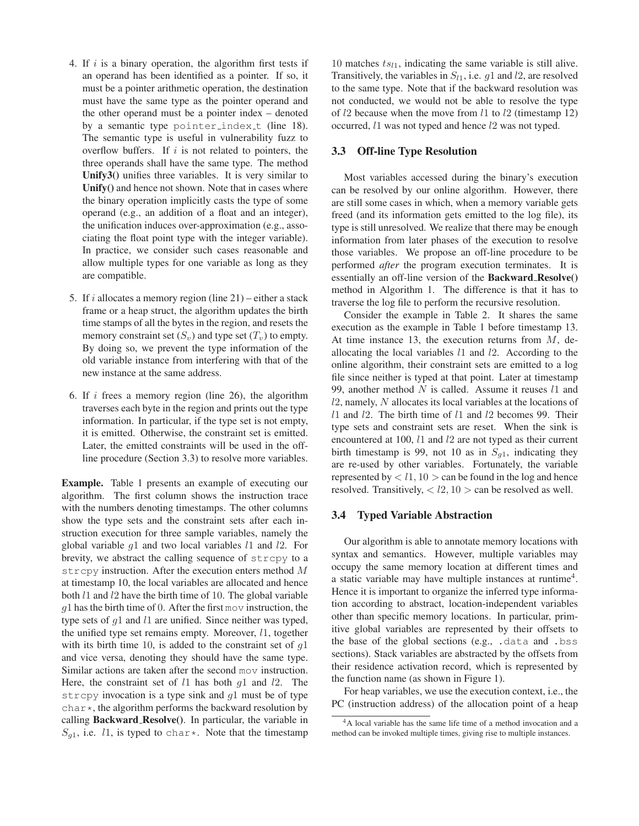- 4. If  $i$  is a binary operation, the algorithm first tests if an operand has been identified as a pointer. If so, it must be a pointer arithmetic operation, the destination must have the same type as the pointer operand and the other operand must be a pointer index – denoted by a semantic type pointer index t (line 18). The semantic type is useful in vulnerability fuzz to overflow buffers. If  $i$  is not related to pointers, the three operands shall have the same type. The method **Unify3()** unifies three variables. It is very similar to **Unify()** and hence not shown. Note that in cases where the binary operation implicitly casts the type of some operand (e.g., an addition of a float and an integer), the unification induces over-approximation (e.g., associating the float point type with the integer variable). In practice, we consider such cases reasonable and allow multiple types for one variable as long as they are compatible.
- 5. If i allocates a memory region (line  $21$ ) either a stack frame or a heap struct, the algorithm updates the birth time stamps of all the bytes in the region, and resets the memory constraint set  $(S_v)$  and type set  $(T_v)$  to empty. By doing so, we prevent the type information of the old variable instance from interfering with that of the new instance at the same address.
- 6. If  $i$  frees a memory region (line 26), the algorithm traverses each byte in the region and prints out the type information. In particular, if the type set is not empty, it is emitted. Otherwise, the constraint set is emitted. Later, the emitted constraints will be used in the offline procedure (Section 3.3) to resolve more variables.

**Example.** Table 1 presents an example of executing our algorithm. The first column shows the instruction trace with the numbers denoting timestamps. The other columns show the type sets and the constraint sets after each instruction execution for three sample variables, namely the global variable  $g1$  and two local variables  $l1$  and  $l2$ . For brevity, we abstract the calling sequence of strcpy to a strcpy instruction. After the execution enters method  $M$ at timestamp 10, the local variables are allocated and hence both  $l_1$  and  $l_2$  have the birth time of 10. The global variable  $q1$  has the birth time of 0. After the first mov instruction, the type sets of  $q1$  and  $l1$  are unified. Since neither was typed, the unified type set remains empty. Moreover, l1, together with its birth time 10, is added to the constraint set of  $q1$ and vice versa, denoting they should have the same type. Similar actions are taken after the second mov instruction. Here, the constraint set of  $l1$  has both  $q1$  and  $l2$ . The strcpy invocation is a type sink and  $q_1$  must be of type  $char\star$ , the algorithm performs the backward resolution by calling **Backward Resolve()**. In particular, the variable in  $S_{g1}$ , i.e. 11, is typed to char\*. Note that the timestamp

10 matches  $ts_{11}$ , indicating the same variable is still alive. Transitively, the variables in  $S_{l1}$ , i.e. g1 and l2, are resolved to the same type. Note that if the backward resolution was not conducted, we would not be able to resolve the type of  $l2$  because when the move from  $l1$  to  $l2$  (timestamp 12) occurred, l1 was not typed and hence l2 was not typed.

#### **3.3 Off-line Type Resolution**

Most variables accessed during the binary's execution can be resolved by our online algorithm. However, there are still some cases in which, when a memory variable gets freed (and its information gets emitted to the log file), its type is still unresolved. We realize that there may be enough information from later phases of the execution to resolve those variables. We propose an off-line procedure to be performed *after* the program execution terminates. It is essentially an off-line version of the **Backward Resolve()** method in Algorithm 1. The difference is that it has to traverse the log file to perform the recursive resolution.

Consider the example in Table 2. It shares the same execution as the example in Table 1 before timestamp 13. At time instance 13, the execution returns from  $M$ , deallocating the local variables  $l1$  and  $l2$ . According to the online algorithm, their constraint sets are emitted to a log file since neither is typed at that point. Later at timestamp 99, another method  $N$  is called. Assume it reuses  $l1$  and l2, namely, N allocates its local variables at the locations of  $l1$  and  $l2$ . The birth time of  $l1$  and  $l2$  becomes 99. Their type sets and constraint sets are reset. When the sink is encountered at 100,  $l1$  and  $l2$  are not typed as their current birth timestamp is 99, not 10 as in  $S_{q1}$ , indicating they are re-used by other variables. Fortunately, the variable represented by  $\langle l_1, 10 \rangle$  can be found in the log and hence resolved. Transitively,  $\langle l2, 10 \rangle$  can be resolved as well.

#### **3.4 Typed Variable Abstraction**

Our algorithm is able to annotate memory locations with syntax and semantics. However, multiple variables may occupy the same memory location at different times and a static variable may have multiple instances at runtime<sup>4</sup>. Hence it is important to organize the inferred type information according to abstract, location-independent variables other than specific memory locations. In particular, primitive global variables are represented by their offsets to the base of the global sections (e.g., .data and .bss sections). Stack variables are abstracted by the offsets from their residence activation record, which is represented by the function name (as shown in Figure 1).

For heap variables, we use the execution context, i.e., the PC (instruction address) of the allocation point of a heap

<sup>4</sup>A local variable has the same life time of a method invocation and a method can be invoked multiple times, giving rise to multiple instances.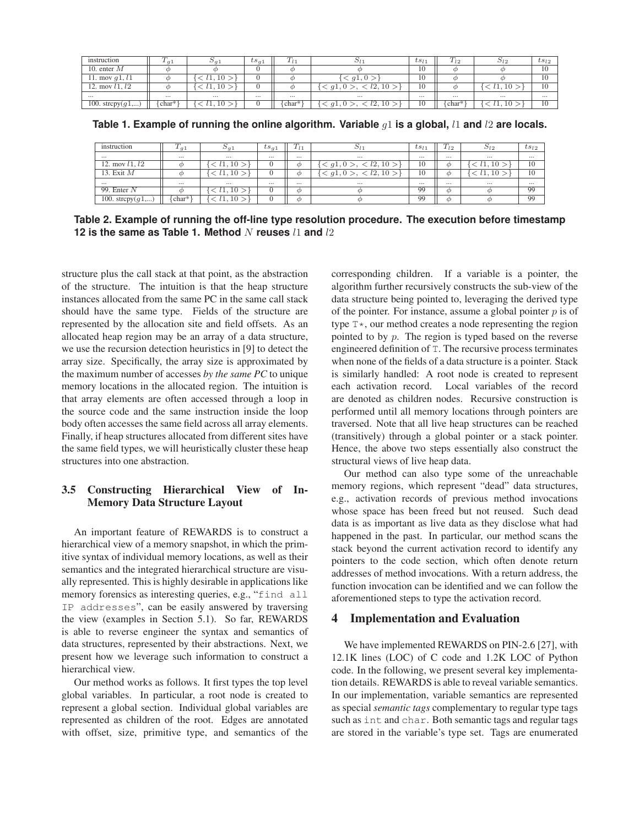| instruction         | $\sqrt{ }$<br>$-q_1$ | $\omega_{q}$ | $t s_{q1}$ | $+ l +$  |                                       | $ts_{l1}$ | $\tau$<br>$10^{\circ}$<br>$\iota$ | 21ס                    | $ts_{l2}$ |
|---------------------|----------------------|--------------|------------|----------|---------------------------------------|-----------|-----------------------------------|------------------------|-----------|
| 10. enter $M$       |                      |              |            |          |                                       | 10        |                                   |                        | 10        |
| 11. mov $g1, l1$    |                      | ΙU           |            |          | q1,0                                  | 10        |                                   |                        | 10        |
| 12. mov $l1, l2$    |                      | πU           |            |          | q1.0                                  | 10        |                                   | $\iota$ 1. $\iota$ 1.0 | 10        |
| $\cdots$            | $\cdots$             | $\cdots$     | $\cdots$   | $\cdots$ | $\cdots$                              | $\cdots$  | $\cdots$                          | $\cdots$               | $\cdots$  |
| 100. strcpy $(g1,)$ | char*                | !1.10        |            | char*    | 10<br>$\leq g1,0$<br>$\iota \Delta$ . | 10        | $char*$                           | l1.10                  | 10        |

**Table 1. Example of running the online algorithm. Variable** g1 **is a global,** l1 **and** l2 **are locals.**

| instruction         | 1a1      | $\omega_{q1}$ | $ts_{q1}$ | 1 <sub>l1</sub> | $\overline{\nu}_{l\perp}$ | $ts_{l1}$ | $\sqrt{ }$<br>$1_{12}$ | $\mathcal{D}12$     | $ts_{l2}$ |
|---------------------|----------|---------------|-----------|-----------------|---------------------------|-----------|------------------------|---------------------|-----------|
| $\cdots$            | $\cdots$ | $\cdots$      | $\cdots$  | $\cdots$        | $\cdots$                  | $\cdots$  | $\cdots$               | $\cdots$            | $\cdots$  |
| 12. mov $l1, l2$    |          | 10            |           | ന               | l2, 10<br>q1.0            | 10        | Φ                      | 10<br>⊊.            | 10        |
| 13. Exit M          |          | -10           |           | m               | l2.10<br>q1.0             | 10        | Φ                      | 10<br>$l_{\perp}$ . | 10        |
| $\cdots$            | $\cdots$ | $\cdots$      | $\cdots$  | $\cdots$        | $\cdots$                  | $\cdots$  | $\cdots$               | $\cdots$            | $\cdots$  |
| 99. Enter $N$       |          | l1.10         |           | Φ               | σ                         | 99        | Φ                      |                     | 99        |
| 100. strcpy $(g1,)$ | s char*' | 10            |           | Φ               | αı                        | 99        | Φ                      |                     | 99        |

**Table 2. Example of running the off-line type resolution procedure. The execution before timestamp 12 is the same as Table 1. Method** N reuses  $11$  and  $12$ 

structure plus the call stack at that point, as the abstraction of the structure. The intuition is that the heap structure instances allocated from the same PC in the same call stack should have the same type. Fields of the structure are represented by the allocation site and field offsets. As an allocated heap region may be an array of a data structure, we use the recursion detection heuristics in [9] to detect the array size. Specifically, the array size is approximated by the maximum number of accesses *by the same PC* to unique memory locations in the allocated region. The intuition is that array elements are often accessed through a loop in the source code and the same instruction inside the loop body often accesses the same field across all array elements. Finally, if heap structures allocated from different sites have the same field types, we will heuristically cluster these heap structures into one abstraction.

## **3.5 Constructing Hierarchical View of In-Memory Data Structure Layout**

An important feature of REWARDS is to construct a hierarchical view of a memory snapshot, in which the primitive syntax of individual memory locations, as well as their semantics and the integrated hierarchical structure are visually represented. This is highly desirable in applications like memory forensics as interesting queries, e.g., "find all IP addresses", can be easily answered by traversing the view (examples in Section 5.1). So far, REWARDS is able to reverse engineer the syntax and semantics of data structures, represented by their abstractions. Next, we present how we leverage such information to construct a hierarchical view.

Our method works as follows. It first types the top level global variables. In particular, a root node is created to represent a global section. Individual global variables are represented as children of the root. Edges are annotated with offset, size, primitive type, and semantics of the

corresponding children. If a variable is a pointer, the algorithm further recursively constructs the sub-view of the data structure being pointed to, leveraging the derived type of the pointer. For instance, assume a global pointer  $p$  is of type  $T^*$ , our method creates a node representing the region pointed to by  $p$ . The region is typed based on the reverse engineered definition of T. The recursive process terminates when none of the fields of a data structure is a pointer. Stack is similarly handled: A root node is created to represent each activation record. Local variables of the record are denoted as children nodes. Recursive construction is performed until all memory locations through pointers are traversed. Note that all live heap structures can be reached (transitively) through a global pointer or a stack pointer. Hence, the above two steps essentially also construct the structural views of live heap data.

Our method can also type some of the unreachable memory regions, which represent "dead" data structures, e.g., activation records of previous method invocations whose space has been freed but not reused. Such dead data is as important as live data as they disclose what had happened in the past. In particular, our method scans the stack beyond the current activation record to identify any pointers to the code section, which often denote return addresses of method invocations. With a return address, the function invocation can be identified and we can follow the aforementioned steps to type the activation record.

## **4 Implementation and Evaluation**

We have implemented REWARDS on PIN-2.6 [27], with 12.1K lines (LOC) of C code and 1.2K LOC of Python code. In the following, we present several key implementation details. REWARDS is able to reveal variable semantics. In our implementation, variable semantics are represented as special *semantic tags* complementary to regular type tags such as int and char. Both semantic tags and regular tags are stored in the variable's type set. Tags are enumerated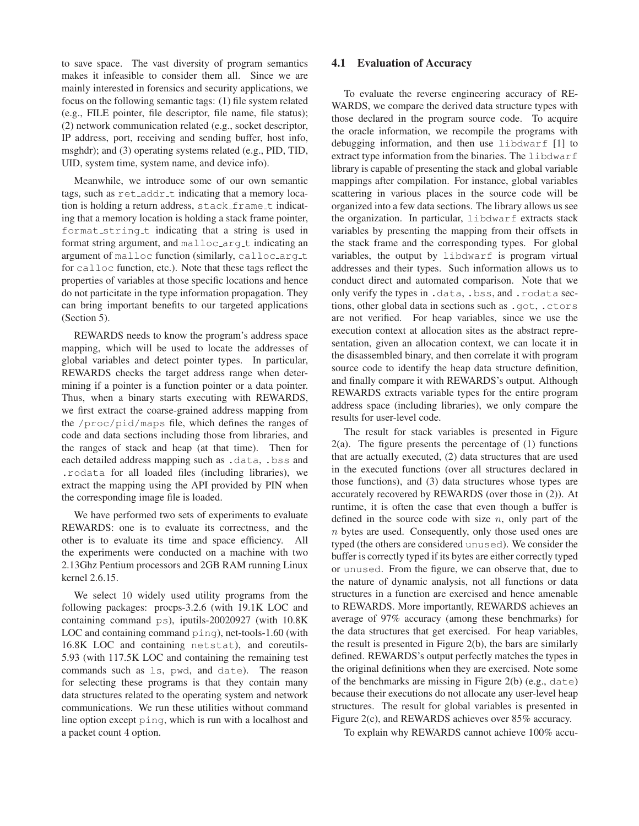to save space. The vast diversity of program semantics makes it infeasible to consider them all. Since we are mainly interested in forensics and security applications, we focus on the following semantic tags: (1) file system related (e.g., FILE pointer, file descriptor, file name, file status); (2) network communication related (e.g., socket descriptor, IP address, port, receiving and sending buffer, host info, msghdr); and (3) operating systems related (e.g., PID, TID, UID, system time, system name, and device info).

Meanwhile, we introduce some of our own semantic tags, such as  $ret\_addr\_t$  indicating that a memory location is holding a return address, stack\_frame\_t indicating that a memory location is holding a stack frame pointer, format\_string\_t indicating that a string is used in format string argument, and malloc\_arg\_t indicating an argument of malloc function (similarly, calloc\_arg\_t for calloc function, etc.). Note that these tags reflect the properties of variables at those specific locations and hence do not particitate in the type information propagation. They can bring important benefits to our targeted applications (Section 5).

REWARDS needs to know the program's address space mapping, which will be used to locate the addresses of global variables and detect pointer types. In particular, REWARDS checks the target address range when determining if a pointer is a function pointer or a data pointer. Thus, when a binary starts executing with REWARDS, we first extract the coarse-grained address mapping from the /proc/pid/maps file, which defines the ranges of code and data sections including those from libraries, and the ranges of stack and heap (at that time). Then for each detailed address mapping such as .data, .bss and .rodata for all loaded files (including libraries), we extract the mapping using the API provided by PIN when the corresponding image file is loaded.

We have performed two sets of experiments to evaluate REWARDS: one is to evaluate its correctness, and the other is to evaluate its time and space efficiency. All the experiments were conducted on a machine with two 2.13Ghz Pentium processors and 2GB RAM running Linux kernel 2.6.15.

We select 10 widely used utility programs from the following packages: procps-3.2.6 (with 19.1K LOC and containing command ps), iputils-20020927 (with 10.8K LOC and containing command  $\pi$ ing), net-tools-1.60 (with 16.8K LOC and containing netstat), and coreutils-5.93 (with 117.5K LOC and containing the remaining test commands such as ls, pwd, and date). The reason for selecting these programs is that they contain many data structures related to the operating system and network communications. We run these utilities without command line option except ping, which is run with a localhost and a packet count 4 option.

#### **4.1 Evaluation of Accuracy**

To evaluate the reverse engineering accuracy of RE-WARDS, we compare the derived data structure types with those declared in the program source code. To acquire the oracle information, we recompile the programs with debugging information, and then use libdwarf [1] to extract type information from the binaries. The libdwarf library is capable of presenting the stack and global variable mappings after compilation. For instance, global variables scattering in various places in the source code will be organized into a few data sections. The library allows us see the organization. In particular, libdwarf extracts stack variables by presenting the mapping from their offsets in the stack frame and the corresponding types. For global variables, the output by libdwarf is program virtual addresses and their types. Such information allows us to conduct direct and automated comparison. Note that we only verify the types in .data, .bss, and .rodata sections, other global data in sections such as .got, .ctors are not verified. For heap variables, since we use the execution context at allocation sites as the abstract representation, given an allocation context, we can locate it in the disassembled binary, and then correlate it with program source code to identify the heap data structure definition, and finally compare it with REWARDS's output. Although REWARDS extracts variable types for the entire program address space (including libraries), we only compare the results for user-level code.

The result for stack variables is presented in Figure  $2(a)$ . The figure presents the percentage of  $(1)$  functions that are actually executed, (2) data structures that are used in the executed functions (over all structures declared in those functions), and (3) data structures whose types are accurately recovered by REWARDS (over those in (2)). At runtime, it is often the case that even though a buffer is defined in the source code with size  $n$ , only part of the  $n$  bytes are used. Consequently, only those used ones are typed (the others are considered unused). We consider the buffer is correctly typed if its bytes are either correctly typed or unused. From the figure, we can observe that, due to the nature of dynamic analysis, not all functions or data structures in a function are exercised and hence amenable to REWARDS. More importantly, REWARDS achieves an average of 97% accuracy (among these benchmarks) for the data structures that get exercised. For heap variables, the result is presented in Figure 2(b), the bars are similarly defined. REWARDS's output perfectly matches the types in the original definitions when they are exercised. Note some of the benchmarks are missing in Figure 2(b) (e.g., date) because their executions do not allocate any user-level heap structures. The result for global variables is presented in Figure 2(c), and REWARDS achieves over 85% accuracy.

To explain why REWARDS cannot achieve 100% accu-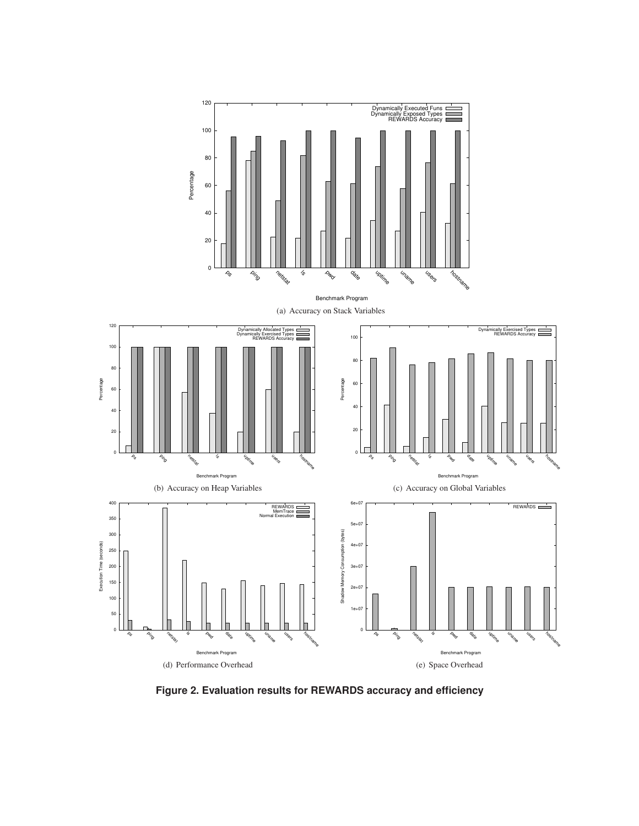

**Figure 2. Evaluation results for REWARDS accuracy and efficiency**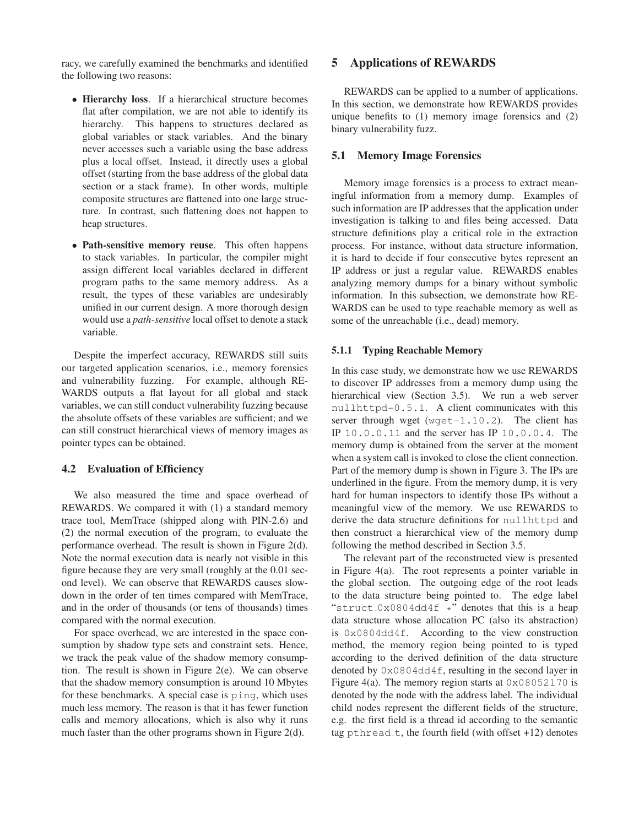racy, we carefully examined the benchmarks and identified the following two reasons:

- **Hierarchy loss**. If a hierarchical structure becomes flat after compilation, we are not able to identify its hierarchy. This happens to structures declared as global variables or stack variables. And the binary never accesses such a variable using the base address plus a local offset. Instead, it directly uses a global offset (starting from the base address of the global data section or a stack frame). In other words, multiple composite structures are flattened into one large structure. In contrast, such flattening does not happen to heap structures.
- **Path-sensitive memory reuse**. This often happens to stack variables. In particular, the compiler might assign different local variables declared in different program paths to the same memory address. As a result, the types of these variables are undesirably unified in our current design. A more thorough design would use a *path-sensitive* local offset to denote a stack variable.

Despite the imperfect accuracy, REWARDS still suits our targeted application scenarios, i.e., memory forensics and vulnerability fuzzing. For example, although RE-WARDS outputs a flat layout for all global and stack variables, we can still conduct vulnerability fuzzing because the absolute offsets of these variables are sufficient; and we can still construct hierarchical views of memory images as pointer types can be obtained.

## **4.2 Evaluation of Efficiency**

We also measured the time and space overhead of REWARDS. We compared it with (1) a standard memory trace tool, MemTrace (shipped along with PIN-2.6) and (2) the normal execution of the program, to evaluate the performance overhead. The result is shown in Figure 2(d). Note the normal execution data is nearly not visible in this figure because they are very small (roughly at the 0.01 second level). We can observe that REWARDS causes slowdown in the order of ten times compared with MemTrace, and in the order of thousands (or tens of thousands) times compared with the normal execution.

For space overhead, we are interested in the space consumption by shadow type sets and constraint sets. Hence, we track the peak value of the shadow memory consumption. The result is shown in Figure 2(e). We can observe that the shadow memory consumption is around 10 Mbytes for these benchmarks. A special case is ping, which uses much less memory. The reason is that it has fewer function calls and memory allocations, which is also why it runs much faster than the other programs shown in Figure 2(d).

### **5 Applications of REWARDS**

REWARDS can be applied to a number of applications. In this section, we demonstrate how REWARDS provides unique benefits to (1) memory image forensics and (2) binary vulnerability fuzz.

#### **5.1 Memory Image Forensics**

Memory image forensics is a process to extract meaningful information from a memory dump. Examples of such information are IP addresses that the application under investigation is talking to and files being accessed. Data structure definitions play a critical role in the extraction process. For instance, without data structure information, it is hard to decide if four consecutive bytes represent an IP address or just a regular value. REWARDS enables analyzing memory dumps for a binary without symbolic information. In this subsection, we demonstrate how RE-WARDS can be used to type reachable memory as well as some of the unreachable (i.e., dead) memory.

#### **5.1.1 Typing Reachable Memory**

In this case study, we demonstrate how we use REWARDS to discover IP addresses from a memory dump using the hierarchical view (Section 3.5). We run a web server nullhttpd-0.5.1. A client communicates with this server through wget  $(wqet-1.10.2)$ . The client has IP 10.0.0.11 and the server has IP 10.0.0.4. The memory dump is obtained from the server at the moment when a system call is invoked to close the client connection. Part of the memory dump is shown in Figure 3. The IPs are underlined in the figure. From the memory dump, it is very hard for human inspectors to identify those IPs without a meaningful view of the memory. We use REWARDS to derive the data structure definitions for nullhttpd and then construct a hierarchical view of the memory dump following the method described in Section 3.5.

The relevant part of the reconstructed view is presented in Figure 4(a). The root represents a pointer variable in the global section. The outgoing edge of the root leads to the data structure being pointed to. The edge label "struct\_0x0804dd4f  $\star$ " denotes that this is a heap data structure whose allocation PC (also its abstraction) is 0x0804dd4f. According to the view construction method, the memory region being pointed to is typed according to the derived definition of the data structure denoted by 0x0804dd4f, resulting in the second layer in Figure 4(a). The memory region starts at  $0 \times 08052170$  is denoted by the node with the address label. The individual child nodes represent the different fields of the structure, e.g. the first field is a thread id according to the semantic tag pthread  $t$ , the fourth field (with offset  $+12$ ) denotes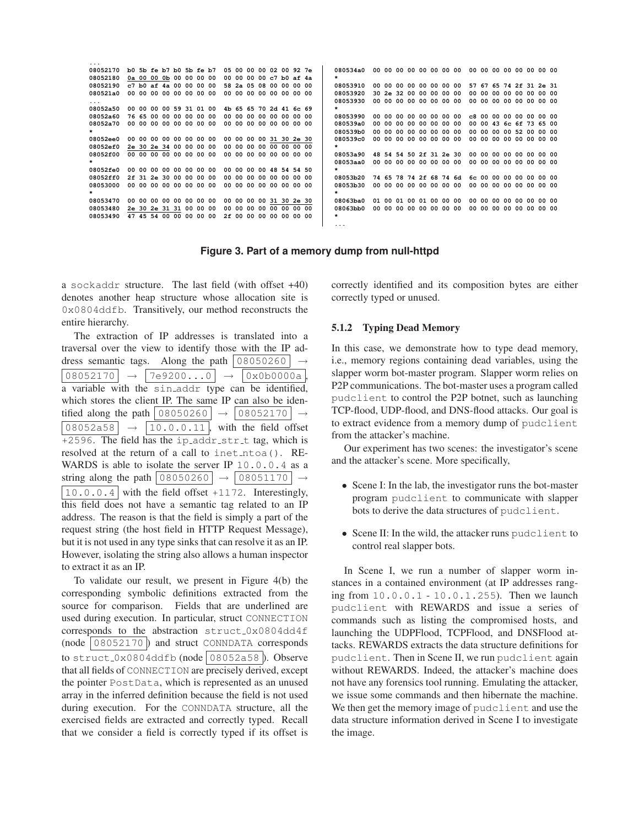**... 08052170 b0 5b fe b7 b0 5b fe b7 05 00 00 00 02 00 92 7e 08052180 0a 00 00 0b 00 00 00 00 00 00 00 00 c7 b0 af 4a**  $\overline{c7}$  b0 af 4a 00 00 00 00 **080521a0 00 00 00 00 00 00 00 00 00 00 00 00 00 00 00 00 ... 08052a50 00 00 00 00 59 31 01 00 4b 65 65 70 2d 41 6c 69 08052a60 76 65 00 00 00 00 00 00 00 00 00 00 00 00 00 00 08052a70 00 00 00 00 00 00 00 00 00 00 00 00 00 00 00 00 \* 08052ee0 00 00 00 00 00 00 00 00 00 00 00 00 31 30 2e 30 08052ef0 2e 30 2e 34 00 00 00 00 00 00 00 00 00 00 00 00 08052f00 00 00 00 00 00 00 00 00 00 00 00 00 00 00 00 00** 08052fe0 **08052fe0 00 00 00 00 00 00 00 00 00 00 00 00 48 54 54 50 08052ff0 2f 31 2e 30 00 00 00 00 00 00 00 00 00 00 00 00 08053000 00 00 00 00 00 00 00 00 00 00 00 00 00 00 00 00 \* 08053470 00 00 00 00 00 00 00 00 00 00 00 00 31 30 2e 30 08053480 2e 30 2e 31 31 00 00 00 00 00 00 00 00 00 00 00 08053490 47 45 54 00 00 00 00 00 2f 00 00 00 00 00 00 00 080534a0 00 00 00 00 00 00 00 00 00 00 00 00 00 00 00 00**  08053910 **08053910 00 00 00 00 00 00 00 00 57 67 65 74 2f 31 2e 31 08053920 30 2e 32 00 00 00 00 00 00 00 00 00 00 00 00 00 08053930 00 00 00 00 00 00 00 00 00 00 00 00 00 00 00 00**  08053990 **08053990 00 00 00 00 00 00 00 00 c8 00 00 00 00 00 00 00 080539a0 00 00 00 00 00 00 00 00 00 00 43 6c 6f 73 65 00 080539b0 00 00 00 00 00 00 00 00 00 00 00 00 52 00 00 00 080539c0 00 00 00 00 00 00 00 00 00 00 00 00 00 00 00 00 \* 08053a90 48 54 54 50 2f 31 2e 30 00 00 00 00 00 00 00 00 08053aa0 00 00 00 00 00 00 00 00 00 00 00 00 00 00 00 00 \* 08053b20 74 65 78 74 2f 68 74 6d 6c 00 00 00 00 00 00 00 08053b30 00 00 00 00 00 00 00 00 00 00 00 00 00 00 00 00 \* 08063ba0 01 00 01 00 01 00 00 00 00 00 00 00 00 00 00 00 08063bb0 00 00 00 00 00 00 00 00 00 00 00 00 00 00 00 00 \* ...**

**Figure 3. Part of a memory dump from null-httpd**

a sockaddr structure. The last field (with offset +40) denotes another heap structure whose allocation site is 0x0804ddfb. Transitively, our method reconstructs the entire hierarchy.

The extraction of IP addresses is translated into a traversal over the view to identify those with the IP address semantic tags. Along the path  $|08050260|$  $|08052170| \rightarrow |7e9200...0| \rightarrow |0x0b0000a|$ a variable with the sin addr type can be identified, which stores the client IP. The same IP can also be identified along the path  $\vert 08050260 \vert \rightarrow \vert 08052170 \vert \rightarrow$  $|08052a58| \rightarrow |10.0.0.11|$ , with the field offset  $+2596$ . The field has the ip\_addr\_str\_t tag, which is resolved at the return of a call to inet\_ntoa(). RE-WARDS is able to isolate the server IP 10.0.0.4 as a string along the path  $|08050260| \rightarrow |08051170| \rightarrow$  $\vert 10.0.0.4 \vert$  with the field offset +1172. Interestingly, this field does not have a semantic tag related to an IP address. The reason is that the field is simply a part of the request string (the host field in HTTP Request Message), but it is not used in any type sinks that can resolve it as an IP. However, isolating the string also allows a human inspector to extract it as an IP.

To validate our result, we present in Figure 4(b) the corresponding symbolic definitions extracted from the source for comparison. Fields that are underlined are used during execution. In particular, struct CONNECTION corresponds to the abstraction struct\_0x0804dd4f  $(node | 08052170 |)$  and struct CONNDATA corresponds to struct  $0x0804$ ddfb $(node | 08052a58)$ . Observe that all fields of CONNECTION are precisely derived, except the pointer PostData, which is represented as an unused array in the inferred definition because the field is not used during execution. For the CONNDATA structure, all the exercised fields are extracted and correctly typed. Recall that we consider a field is correctly typed if its offset is correctly identified and its composition bytes are either correctly typed or unused.

### **5.1.2 Typing Dead Memory**

In this case, we demonstrate how to type dead memory, i.e., memory regions containing dead variables, using the slapper worm bot-master program. Slapper worm relies on P2P communications. The bot-master uses a program called pudclient to control the P2P botnet, such as launching TCP-flood, UDP-flood, and DNS-flood attacks. Our goal is to extract evidence from a memory dump of pudclient from the attacker's machine.

Our experiment has two scenes: the investigator's scene and the attacker's scene. More specifically,

- Scene I: In the lab, the investigator runs the bot-master program pudclient to communicate with slapper bots to derive the data structures of pudclient.
- Scene II: In the wild, the attacker runs pudclient to control real slapper bots.

In Scene I, we run a number of slapper worm instances in a contained environment (at IP addresses ranging from 10.0.0.1 - 10.0.1.255). Then we launch pudclient with REWARDS and issue a series of commands such as listing the compromised hosts, and launching the UDPFlood, TCPFlood, and DNSFlood attacks. REWARDS extracts the data structure definitions for pudclient. Then in Scene II, we run pudclient again without REWARDS. Indeed, the attacker's machine does not have any forensics tool running. Emulating the attacker, we issue some commands and then hibernate the machine. We then get the memory image of pudclient and use the data structure information derived in Scene I to investigate the image.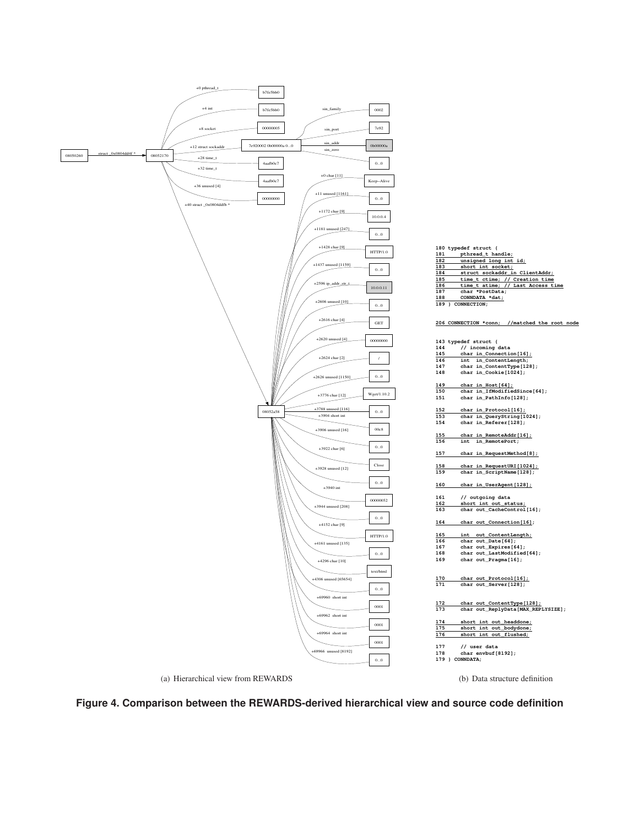





**<sup>172</sup> char out\_ContentType[128]; 173 char out\_ReplyData[MAX\_REPLYSIZE];**



short int out\_flushed;



(b) Data structure definition

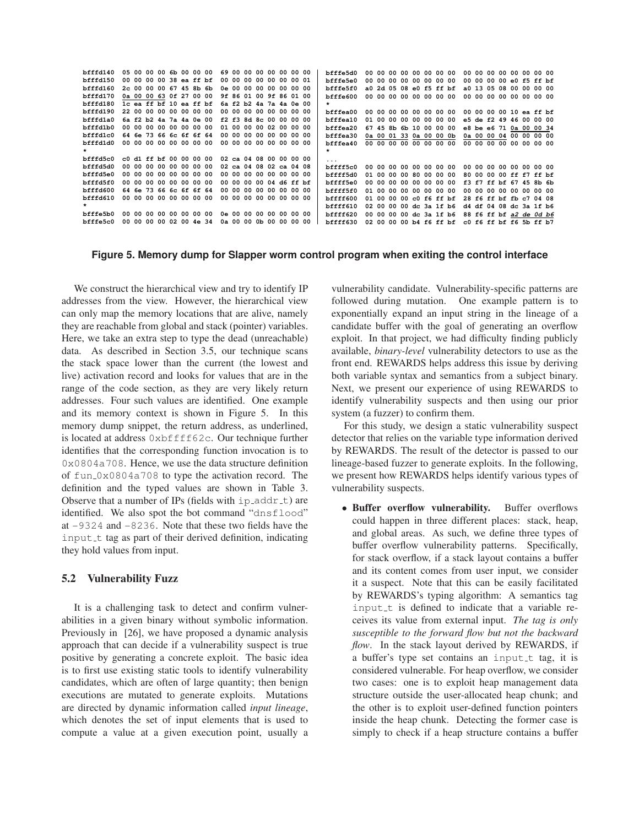|  |                |                                        |  |       |                                                                                                                                                                                                                                                                                                                                                                                                                                                    |       |     |                                    |                                                                                                                                        |  | bfffe5d0                                                                                                                                                                                                                                                                                                                                                |  |                                                                      |       |    |  |                                                                                                                                                                                                                                                                                                                                                                               |                         |  |                                           |                                   |    |                                                                                                                                                                                                                                                                                                                                                                                                          |
|--|----------------|----------------------------------------|--|-------|----------------------------------------------------------------------------------------------------------------------------------------------------------------------------------------------------------------------------------------------------------------------------------------------------------------------------------------------------------------------------------------------------------------------------------------------------|-------|-----|------------------------------------|----------------------------------------------------------------------------------------------------------------------------------------|--|---------------------------------------------------------------------------------------------------------------------------------------------------------------------------------------------------------------------------------------------------------------------------------------------------------------------------------------------------------|--|----------------------------------------------------------------------|-------|----|--|-------------------------------------------------------------------------------------------------------------------------------------------------------------------------------------------------------------------------------------------------------------------------------------------------------------------------------------------------------------------------------|-------------------------|--|-------------------------------------------|-----------------------------------|----|----------------------------------------------------------------------------------------------------------------------------------------------------------------------------------------------------------------------------------------------------------------------------------------------------------------------------------------------------------------------------------------------------------|
|  |                |                                        |  |       |                                                                                                                                                                                                                                                                                                                                                                                                                                                    |       |     |                                    |                                                                                                                                        |  | bfffe5e0                                                                                                                                                                                                                                                                                                                                                |  |                                                                      |       |    |  |                                                                                                                                                                                                                                                                                                                                                                               |                         |  |                                           |                                   |    |                                                                                                                                                                                                                                                                                                                                                                                                          |
|  |                |                                        |  |       |                                                                                                                                                                                                                                                                                                                                                                                                                                                    |       |     |                                    |                                                                                                                                        |  | bfffe5f0                                                                                                                                                                                                                                                                                                                                                |  |                                                                      |       |    |  |                                                                                                                                                                                                                                                                                                                                                                               |                         |  |                                           |                                   |    |                                                                                                                                                                                                                                                                                                                                                                                                          |
|  |                |                                        |  |       |                                                                                                                                                                                                                                                                                                                                                                                                                                                    |       |     |                                    |                                                                                                                                        |  | bfffe600                                                                                                                                                                                                                                                                                                                                                |  |                                                                      |       |    |  |                                                                                                                                                                                                                                                                                                                                                                               |                         |  |                                           |                                   |    |                                                                                                                                                                                                                                                                                                                                                                                                          |
|  |                |                                        |  |       |                                                                                                                                                                                                                                                                                                                                                                                                                                                    |       |     |                                    |                                                                                                                                        |  | $\star$                                                                                                                                                                                                                                                                                                                                                 |  |                                                                      |       |    |  |                                                                                                                                                                                                                                                                                                                                                                               |                         |  |                                           |                                   |    |                                                                                                                                                                                                                                                                                                                                                                                                          |
|  |                |                                        |  |       |                                                                                                                                                                                                                                                                                                                                                                                                                                                    |       |     |                                    |                                                                                                                                        |  | bfffea00                                                                                                                                                                                                                                                                                                                                                |  |                                                                      |       |    |  |                                                                                                                                                                                                                                                                                                                                                                               |                         |  |                                           |                                   |    |                                                                                                                                                                                                                                                                                                                                                                                                          |
|  |                |                                        |  |       |                                                                                                                                                                                                                                                                                                                                                                                                                                                    |       |     |                                    |                                                                                                                                        |  | bfffea10                                                                                                                                                                                                                                                                                                                                                |  |                                                                      |       |    |  |                                                                                                                                                                                                                                                                                                                                                                               |                         |  |                                           |                                   |    |                                                                                                                                                                                                                                                                                                                                                                                                          |
|  |                |                                        |  |       |                                                                                                                                                                                                                                                                                                                                                                                                                                                    |       |     |                                    |                                                                                                                                        |  | bfffea20                                                                                                                                                                                                                                                                                                                                                |  |                                                                      |       |    |  |                                                                                                                                                                                                                                                                                                                                                                               |                         |  |                                           |                                   |    |                                                                                                                                                                                                                                                                                                                                                                                                          |
|  |                |                                        |  |       |                                                                                                                                                                                                                                                                                                                                                                                                                                                    |       |     |                                    |                                                                                                                                        |  | bfffea30                                                                                                                                                                                                                                                                                                                                                |  |                                                                      |       |    |  |                                                                                                                                                                                                                                                                                                                                                                               |                         |  |                                           |                                   |    |                                                                                                                                                                                                                                                                                                                                                                                                          |
|  |                |                                        |  |       |                                                                                                                                                                                                                                                                                                                                                                                                                                                    |       |     |                                    |                                                                                                                                        |  | bfffea40                                                                                                                                                                                                                                                                                                                                                |  |                                                                      |       |    |  |                                                                                                                                                                                                                                                                                                                                                                               |                         |  |                                           |                                   |    |                                                                                                                                                                                                                                                                                                                                                                                                          |
|  |                |                                        |  |       |                                                                                                                                                                                                                                                                                                                                                                                                                                                    |       |     |                                    |                                                                                                                                        |  | $\star$                                                                                                                                                                                                                                                                                                                                                 |  |                                                                      |       |    |  |                                                                                                                                                                                                                                                                                                                                                                               |                         |  |                                           |                                   |    |                                                                                                                                                                                                                                                                                                                                                                                                          |
|  |                |                                        |  |       |                                                                                                                                                                                                                                                                                                                                                                                                                                                    |       |     |                                    |                                                                                                                                        |  | .                                                                                                                                                                                                                                                                                                                                                       |  |                                                                      |       |    |  |                                                                                                                                                                                                                                                                                                                                                                               |                         |  |                                           |                                   |    |                                                                                                                                                                                                                                                                                                                                                                                                          |
|  |                |                                        |  |       |                                                                                                                                                                                                                                                                                                                                                                                                                                                    |       |     |                                    |                                                                                                                                        |  | bffff5c0                                                                                                                                                                                                                                                                                                                                                |  |                                                                      |       |    |  |                                                                                                                                                                                                                                                                                                                                                                               |                         |  |                                           |                                   |    |                                                                                                                                                                                                                                                                                                                                                                                                          |
|  |                |                                        |  |       |                                                                                                                                                                                                                                                                                                                                                                                                                                                    |       |     |                                    |                                                                                                                                        |  | bffff5d0                                                                                                                                                                                                                                                                                                                                                |  |                                                                      |       |    |  |                                                                                                                                                                                                                                                                                                                                                                               |                         |  |                                           |                                   |    |                                                                                                                                                                                                                                                                                                                                                                                                          |
|  |                |                                        |  |       |                                                                                                                                                                                                                                                                                                                                                                                                                                                    |       |     |                                    |                                                                                                                                        |  | bffff5e0                                                                                                                                                                                                                                                                                                                                                |  |                                                                      |       |    |  |                                                                                                                                                                                                                                                                                                                                                                               |                         |  |                                           |                                   |    |                                                                                                                                                                                                                                                                                                                                                                                                          |
|  |                |                                        |  |       |                                                                                                                                                                                                                                                                                                                                                                                                                                                    |       |     |                                    |                                                                                                                                        |  | bffff5f0                                                                                                                                                                                                                                                                                                                                                |  |                                                                      |       |    |  |                                                                                                                                                                                                                                                                                                                                                                               |                         |  |                                           |                                   |    |                                                                                                                                                                                                                                                                                                                                                                                                          |
|  |                |                                        |  |       |                                                                                                                                                                                                                                                                                                                                                                                                                                                    |       |     |                                    |                                                                                                                                        |  | bffff600                                                                                                                                                                                                                                                                                                                                                |  |                                                                      |       |    |  |                                                                                                                                                                                                                                                                                                                                                                               |                         |  |                                           |                                   |    |                                                                                                                                                                                                                                                                                                                                                                                                          |
|  |                |                                        |  |       |                                                                                                                                                                                                                                                                                                                                                                                                                                                    |       |     |                                    |                                                                                                                                        |  | bffff610                                                                                                                                                                                                                                                                                                                                                |  |                                                                      |       |    |  |                                                                                                                                                                                                                                                                                                                                                                               |                         |  |                                           |                                   |    |                                                                                                                                                                                                                                                                                                                                                                                                          |
|  |                |                                        |  |       |                                                                                                                                                                                                                                                                                                                                                                                                                                                    |       |     |                                    |                                                                                                                                        |  | bffff620                                                                                                                                                                                                                                                                                                                                                |  |                                                                      |       |    |  |                                                                                                                                                                                                                                                                                                                                                                               |                         |  |                                           |                                   |    |                                                                                                                                                                                                                                                                                                                                                                                                          |
|  |                |                                        |  |       |                                                                                                                                                                                                                                                                                                                                                                                                                                                    |       |     |                                    |                                                                                                                                        |  | bffff630                                                                                                                                                                                                                                                                                                                                                |  |                                                                      |       |    |  |                                                                                                                                                                                                                                                                                                                                                                               |                         |  |                                           |                                   |    |                                                                                                                                                                                                                                                                                                                                                                                                          |
|  | 64 6e<br>64 6e | 73<br>00 00 00 00<br>73<br>00 00 00 00 |  | 00 00 | 05 00 00 00 6b 00 00 00<br>00 00 00 00 38 ea ff bf<br>2c 00 00 00 67 45 8b 6b<br>0a 00 00 63 0f 27 00 00<br>1c ea ff bf 10 ea ff bf<br>22 00 00 00 00 00 00 00<br>6a f2 b2 4a 7a 4a 0e 00<br>00 00 00 00 00 00 00 00<br>66 6c 6f 6f 64<br>00 00 00 00 00 00 00 00<br>c0 d1 ff bf 00 00 00 00<br>00 00 00 00 00 00 00 00<br>00 00 00 00 00 00 00 00<br>00 OO<br>66 6c 6f 6f 64<br>00 00 00 00 00 00 00 00<br>00 00 00 00 00 00 00 00<br>02 00 4e 34 | 00 00 | -00 | - 00<br>00 00 00 00<br>0a 00 00 0b | 69 00 00 00<br>00 00 00 00<br>00<br>0e 00 00 00<br>01 00 00 00<br>00 00 00 00<br>00 00 00 00<br>00<br>00 00 00 00<br>0e 00 00 00<br>00 |  | .00 00 00 00<br>00 00 01<br>00 00 00 00<br>9f 86 01 00 9f 86 01 00<br>6a f2 b2 4a 7a 4a 0e 00<br>00 00 00 00 00 00 00 00<br>f2 f3 8d 8c 00 00 00 00<br>02 00 00 00<br>00 00 00 00<br>no no no no<br>02 ca 04 08 00 00 00 00<br>02 ca 04 08 02 ca 04 08<br>00 00 00 00 00 00 00 00<br>04 d6 ff bf<br>.00 00 00<br>no no no no<br>00 00 00 00<br>00 00 00 |  | 00 00<br>6745<br>01 00<br>nn nn<br>01 00<br>01 00<br>02. OO<br>00 00 | 01 00 | 8b |  | 00 00 00 00 00 00 00 00<br>00 00 00 00 00 00<br>a0 2d 05 08 e0 f5 ff bf<br>00 00 00 00 00 00 00 00<br>00 00 00 00 00 00 00 00<br>00 00 00 00 00 00<br>61 10 00 00 00<br>0a 00 01 33 0a 00 00 0b<br>00 00 00 00 00 00 00 00<br>00 00 00 00 00 00 00 00<br>00 00 80 00 00 00<br>.00 00 00 00 00 00<br>00 00 00 00 00 00<br>0000c0f6ff<br>00 00 dc 3a 1f b6<br>00 00 dc 3a 1f b6 | 02 00 00 00 b4 f6 ff bf |  | 00 00 00 00<br>0a 00 00 04<br>00 00 00 00 | e0.<br>a0 13 05 08 00<br>00<br>00 | £5 | 00 00 00 00 00 00 00 00<br>ff hf<br>00 00 00<br>00 00 00 00 00 00 00 00<br>00 00 00 00 10 ea ff bf<br>e5 de f2 49 46 00 00 00<br>e8 be e6 71 0a 00 00 34<br>00 00 00<br>00 00 00<br>00 00 00 00 00 00 00 00<br>80 00 00 00 ff f7 ff bf<br>f3 f7 ff bf 67 45 8b 6b<br>00 00 00 00 00 00 00 00<br>28 f6 ff bf fb c7 04 08<br>d4 df 04 08 dc 3a 1f b6<br>88 f6 ff bf a2 de 0d b6<br>c0 f6 ff bf f6 5b ff b7 |

### **Figure 5. Memory dump for Slapper worm control program when exiting the control interface**

We construct the hierarchical view and try to identify IP addresses from the view. However, the hierarchical view can only map the memory locations that are alive, namely they are reachable from global and stack (pointer) variables. Here, we take an extra step to type the dead (unreachable) data. As described in Section 3.5, our technique scans the stack space lower than the current (the lowest and live) activation record and looks for values that are in the range of the code section, as they are very likely return addresses. Four such values are identified. One example and its memory context is shown in Figure 5. In this memory dump snippet, the return address, as underlined, is located at address 0xbffff62c. Our technique further identifies that the corresponding function invocation is to 0x0804a708. Hence, we use the data structure definition of fun 0x0804a708 to type the activation record. The definition and the typed values are shown in Table 3. Observe that a number of IPs (fields with  $ip\_addr_t$ ) are identified. We also spot the bot command "dnsflood" at -9324 and -8236. Note that these two fields have the input t tag as part of their derived definition, indicating they hold values from input.

## **5.2 Vulnerability Fuzz**

It is a challenging task to detect and confirm vulnerabilities in a given binary without symbolic information. Previously in [26], we have proposed a dynamic analysis approach that can decide if a vulnerability suspect is true positive by generating a concrete exploit. The basic idea is to first use existing static tools to identify vulnerability candidates, which are often of large quantity; then benign executions are mutated to generate exploits. Mutations are directed by dynamic information called *input lineage*, which denotes the set of input elements that is used to compute a value at a given execution point, usually a

vulnerability candidate. Vulnerability-specific patterns are followed during mutation. One example pattern is to exponentially expand an input string in the lineage of a candidate buffer with the goal of generating an overflow exploit. In that project, we had difficulty finding publicly available, *binary-level* vulnerability detectors to use as the front end. REWARDS helps address this issue by deriving both variable syntax and semantics from a subject binary. Next, we present our experience of using REWARDS to identify vulnerability suspects and then using our prior system (a fuzzer) to confirm them.

For this study, we design a static vulnerability suspect detector that relies on the variable type information derived by REWARDS. The result of the detector is passed to our lineage-based fuzzer to generate exploits. In the following, we present how REWARDS helps identify various types of vulnerability suspects.

• **Buffer overflow vulnerability.** Buffer overflows could happen in three different places: stack, heap, and global areas. As such, we define three types of buffer overflow vulnerability patterns. Specifically, for stack overflow, if a stack layout contains a buffer and its content comes from user input, we consider it a suspect. Note that this can be easily facilitated by REWARDS's typing algorithm: A semantics tag input t is defined to indicate that a variable receives its value from external input. *The tag is only susceptible to the forward flow but not the backward flow*. In the stack layout derived by REWARDS, if a buffer's type set contains an input t tag, it is considered vulnerable. For heap overflow, we consider two cases: one is to exploit heap management data structure outside the user-allocated heap chunk; and the other is to exploit user-defined function pointers inside the heap chunk. Detecting the former case is simply to check if a heap structure contains a buffer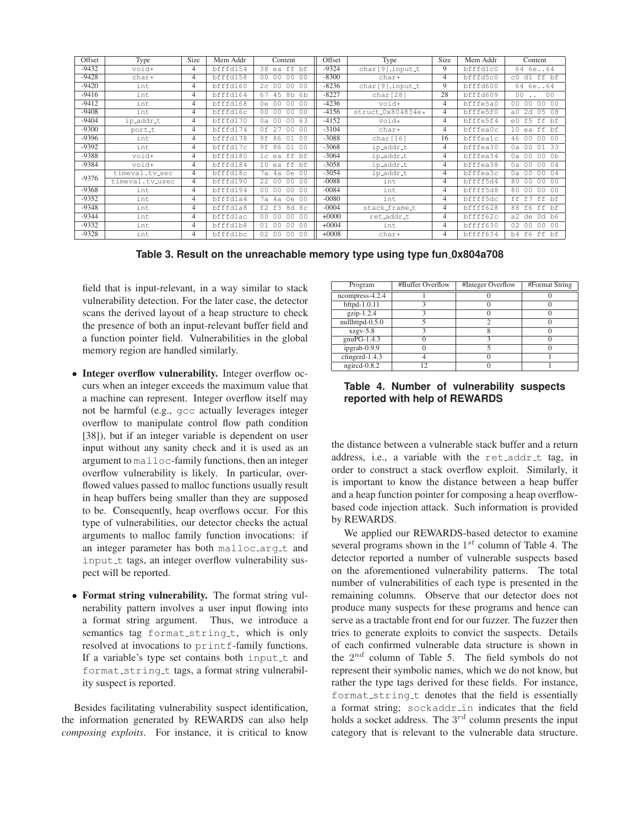| Offset  | Type            | Size           | Mem Addr | Content                                                              | Offset  | Type               | Size | Mem Addr | Content                                                  |  |
|---------|-----------------|----------------|----------|----------------------------------------------------------------------|---------|--------------------|------|----------|----------------------------------------------------------|--|
| $-9432$ | void*           | 4              | bfffd154 | 38 ea ff bf                                                          | $-9324$ | $char[9], input_t$ | 9    | bfffd1c0 | 64 6e64                                                  |  |
| $-9428$ | char*           | 4              | bfffd158 | 0 <sub>0</sub><br>00<br>00<br>00                                     | $-8300$ | $char*$            | 4    | bfffd5c0 | dl ff bf<br>C <sub>0</sub>                               |  |
| $-9420$ | int             | 4              | bfffd160 | 00<br>0 <sup>0</sup><br>2c<br>0 <sub>0</sub>                         | $-8236$ | char[9], input_t   | 9    | bfffd600 | 64 6e64                                                  |  |
| -9416   | int             | 4              | bfffd164 | 45<br>8b<br>67<br>6 <sub>b</sub>                                     | $-8227$ | char[28]           | 28   | bfffd609 | 0 <sub>0</sub><br>0 <sub>0</sub>                         |  |
| $-9412$ | int             | 4              | bfffd168 | 0 <sub>0</sub><br>00<br>0 <sup>0</sup><br>0e                         | $-4236$ | void*              | 4    | bfffe5a0 | 00 00<br>0 <sub>0</sub><br>0 <sup>0</sup>                |  |
| $-9408$ | int             | 4              | bfffd16c | 0 <sub>0</sub><br>00<br>00<br>0 <sup>0</sup>                         | $-4156$ | struct_0x804834e*  | 4    | bfffe5f0 | 2d<br>05<br>08<br>a <sub>0</sub>                         |  |
| -9404   | ip_addr_t       | 4              | bfffd170 | 0a 00<br>00<br>63                                                    | $-4152$ | void*              | 4    | bfffe5f4 | $e0$ f5<br>ff<br>bf                                      |  |
| $-9300$ | port_t          | 4              | bfffd174 | 0f 27<br>00<br>0 <sub>0</sub>                                        | $-3104$ | $char*$            | 4    | bfffea0c | ea ff bf<br>10                                           |  |
| -9396   | int             | 4              | bfffd178 | 9f 86<br>01<br>0 <sub>0</sub>                                        | $-3088$ | char[16]           | 16   | bfffealc | 0 <sup>0</sup><br>46<br>0 <sub>0</sub><br>- 0.0          |  |
| $-9392$ | int             | $\overline{4}$ | bfffd17c | 9f 86<br>01<br>00                                                    | $-3068$ | ip_addr_t          | 4    | bfffea30 | 33<br>0a 00<br>01                                        |  |
| -9388   | void*           | 4              | bfffd180 | 1c ea ff<br>bf                                                       | $-3064$ | ip_addr_t          | 4    | bfffea34 | 0 <sub>0</sub><br>0 <sup>0</sup><br>0 <sub>b</sub><br>0a |  |
| -9384   | void*           | 4              | bfffd184 | 10 ea ff<br>bf                                                       | $-3058$ | ip_addr_t          | 4    | bfffea38 | 0 <sub>0</sub><br>0 <sup>0</sup><br>04<br>0a             |  |
| $-9376$ | timeval.tv_sec  | 4              | bfffd18c | 7a<br>0e<br>4a<br>00                                                 | $-3054$ | ip_addr_t          | 4    | bfffea3c | 0 <sup>0</sup><br>04<br>00<br>0a                         |  |
|         | timeval.tv_usec | 4              | bfffd190 | 22 00<br>00<br>0 <sup>0</sup>                                        | $-0088$ | int                | 4    | bffff5d4 | 0 <sup>0</sup><br>00<br>00<br>80                         |  |
| $-9368$ | int             | 4              | bfffd194 | 0 <sub>0</sub><br>0 <sub>0</sub><br>0 <sup>0</sup><br>0 <sub>0</sub> | $-0084$ | int                | 4    | bffff5d8 | 80<br>0 <sup>0</sup><br>0 <sub>0</sub><br>- 0.0          |  |
| $-9352$ | int             | 4              | bfffdla4 | 0e<br>7a 4a<br>00                                                    | $-0080$ | int                | 4    | bffff5dc | ff f7<br>ff<br>bf                                        |  |
| -9348   | int             | 4              | bfffdla8 | f2 f3<br>8d<br>8c                                                    | $-0004$ | stack_frame_t      | 4    | bffff628 | ff bf<br>88<br>f6                                        |  |
| -9344   | int             | 4              | bfffdlac | 00 00<br>00<br>00                                                    | $+0000$ | ret_addr_t         | 4    | bffff62c | $0d$ $b6$<br>a2 de                                       |  |
| $-9332$ | int             | 4              | bfffd1b8 | 0 <sub>0</sub><br>01<br>00<br>0 <sup>0</sup>                         | $+0004$ | int                | 4    | bffff630 | 02<br>0 <sub>0</sub><br>0 <sup>0</sup><br>- 0.0          |  |
| $-9328$ | int             | 4              | bfffdlbc | 0 <sup>0</sup><br>02<br>00<br>0 <sub>0</sub>                         | $+0008$ | char*              | 4    | bffff634 | b4 f6<br>ff<br>bf                                        |  |

**Table 3. Result on the unreachable memory type using type fun 0x804a708**

field that is input-relevant, in a way similar to stack vulnerability detection. For the later case, the detector scans the derived layout of a heap structure to check the presence of both an input-relevant buffer field and a function pointer field. Vulnerabilities in the global memory region are handled similarly.

- **Integer overflow vulnerability.** Integer overflow occurs when an integer exceeds the maximum value that a machine can represent. Integer overflow itself may not be harmful (e.g., gcc actually leverages integer overflow to manipulate control flow path condition [38]), but if an integer variable is dependent on user input without any sanity check and it is used as an argument to malloc-family functions, then an integer overflow vulnerability is likely. In particular, overflowed values passed to malloc functions usually result in heap buffers being smaller than they are supposed to be. Consequently, heap overflows occur. For this type of vulnerabilities, our detector checks the actual arguments to malloc family function invocations: if an integer parameter has both malloc\_arg\_t and input t tags, an integer overflow vulnerability suspect will be reported.
- **Format string vulnerability.** The format string vulnerability pattern involves a user input flowing into a format string argument. Thus, we introduce a semantics tag format\_string\_t, which is only resolved at invocations to printf-family functions. If a variable's type set contains both input t and format\_string\_t tags, a format string vulnerability suspect is reported.

Besides facilitating vulnerability suspect identification, the information generated by REWARDS can also help *composing exploits*. For instance, it is critical to know

| Program                      | #Buffer Overflow | #Integer Overflow | #Format String |
|------------------------------|------------------|-------------------|----------------|
| ncompress-4.2.4              |                  |                   |                |
| bftpd-1.0.11                 |                  |                   |                |
| $gzip-1.2.4$                 |                  |                   |                |
| $null$ httpd- $0.5.0$        |                  |                   |                |
| $xzgy-5.8$                   |                  |                   |                |
| $gnuPG-1.4.3$                |                  |                   |                |
| ipgrab- $0.\overline{9.9}$   |                  |                   |                |
| cfingerd- $1.\overline{4.3}$ |                  |                   |                |
| $n$ gircd-0.8.2              | 12               |                   |                |

**Table 4. Number of vulnerability suspects reported with help of REWARDS**

the distance between a vulnerable stack buffer and a return address, i.e., a variable with the  $ret$ -addr<sub>-t tag, in</sub> order to construct a stack overflow exploit. Similarly, it is important to know the distance between a heap buffer and a heap function pointer for composing a heap overflowbased code injection attack. Such information is provided by REWARDS.

We applied our REWARDS-based detector to examine several programs shown in the  $1^{st}$  column of Table 4. The detector reported a number of vulnerable suspects based on the aforementioned vulnerability patterns. The total number of vulnerabilities of each type is presented in the remaining columns. Observe that our detector does not produce many suspects for these programs and hence can serve as a tractable front end for our fuzzer. The fuzzer then tries to generate exploits to convict the suspects. Details of each confirmed vulnerable data structure is shown in the  $2^{nd}$  column of Table 5. The field symbols do not represent their symbolic names, which we do not know, but rather the type tags derived for these fields. For instance, format string t denotes that the field is essentially a format string; sockaddr in indicates that the field holds a socket address. The  $3^{rd}$  column presents the input category that is relevant to the vulnerable data structure.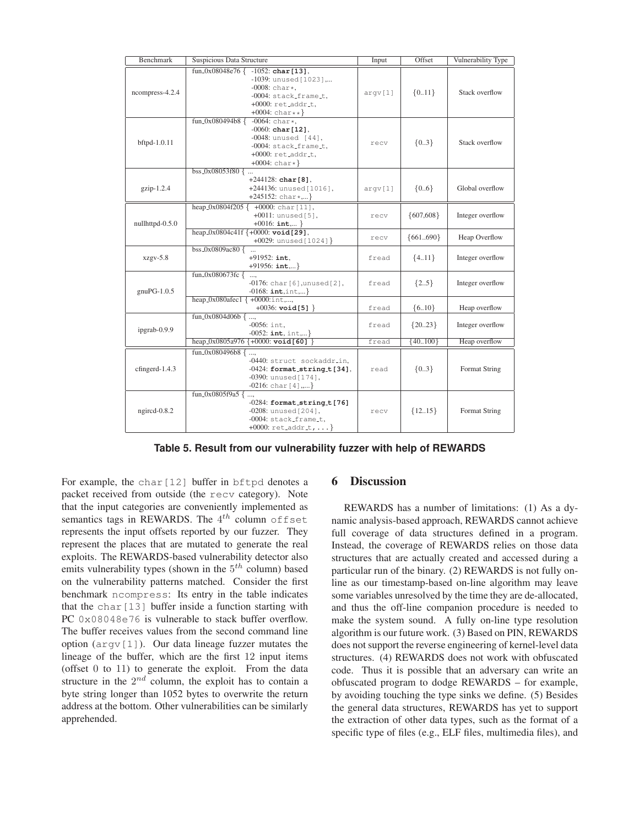| <b>Benchmark</b> | Suspicious Data Structure                                                                                                                                                    | Input   | Offset      | Vulnerability Type |
|------------------|------------------------------------------------------------------------------------------------------------------------------------------------------------------------------|---------|-------------|--------------------|
| ncompress-4.2.4  | fun_0x08048e76 $\{-1052$ : char [13],<br>$-1039$ : unused [1023],<br>$-0008$ : char*.<br>$-0004$ : stack_frame_t,<br>$+0000$ : $ret.addrt$ ,<br>$+0004$ : char ** }          | argv[1] | ${0.11}$    | Stack overflow     |
| bftpd-1.0.11     | fun_0x080494b8 {<br>$-0064$ : char*,<br>$-0060$ : char $[12]$ ,<br>$-0048$ : unused [44].<br>$-0004$ : stack_frame_t.<br>$+0000$ : $ret.addrt$ ,<br>$+0004$ : char $\star$ } | recv    | ${03}$      | Stack overflow     |
| gzip-1.2.4       | $\frac{1}{3}$ bss_0x08053f80 {<br>$+244128$ : char [8],<br>+244136: unused [1016],<br>$+245152$ : char $*,$ }                                                                | argv[1] | ${06}$      | Global overflow    |
| nullhttpd-0.5.0  | heap_0x0804f205 $\{$<br>$+0000$ : char $[11]$ ,<br>+0011: unused[5],<br>$+0016$ : int, }                                                                                     | recv    | ${607,608}$ | Integer overflow   |
|                  | heap_0x0804c41f {+0000: void[29],<br>+0029: unused [1024] }                                                                                                                  | recv    | ${661690}$  | Heap Overflow      |
| $xzgy-5.8$       | bss_0x0809ac80 $\overline{5}$<br>$+91952:$ int.<br>$+91956: \text{int}, \dots$                                                                                               | fread   | ${4.11}$    | Integer overflow   |
| $gnuPG-1.0.5$    | fun_0x080673fc {<br>$\cdots$<br>$-0176$ : char $[6]$ , unused $[2]$ ,<br>$-0168: \text{int}, \text{int}, \dots$ }                                                            | fread   | ${25}$      | Integer overflow   |
|                  | heap_0x080afec1 $\{+0000$ :int,,<br>$+0036$ : void[5] }                                                                                                                      | fread   | ${6.10}$    | Heap overflow      |
| ipgrab-0.9.9     | fun_0x0804d06b $\{,$<br>$-0056:$ int.<br>$-0052$ : int, int,}                                                                                                                | fread   | ${2023}$    | Integer overflow   |
|                  | $\frac{\text{heap_0x0805a976 } + 0000}{\text{real 60}}$                                                                                                                      | fread   | ${40100}$   | Heap overflow      |
| cfingerd-1.4.3   | fun_0x080496b8 $\{,$<br>-0440: struct sockaddr_in,<br>$-0424$ : format_string_t[34],<br>$-0390$ : unused $[174]$ ,<br>$-0216$ : char $[4]$ ,}                                | read    | ${03}$      | Format String      |
| ngircd-0.8.2     | $fun_0x0805f9a5$ {,<br>$-0284$ : format_string_t[76]<br>$-0208$ : unused [204],<br>-0004: stack_frame_t.<br>+0000: $ret.addrt, $ }                                           | recv    | ${1215}$    | Format String      |

**Table 5. Result from our vulnerability fuzzer with help of REWARDS**

For example, the char [12] buffer in bftpd denotes a packet received from outside (the recv category). Note that the input categories are conveniently implemented as semantics tags in REWARDS. The  $4^{th}$  column offset represents the input offsets reported by our fuzzer. They represent the places that are mutated to generate the real exploits. The REWARDS-based vulnerability detector also emits vulnerability types (shown in the  $5^{th}$  column) based on the vulnerability patterns matched. Consider the first benchmark ncompress: Its entry in the table indicates that the char[13] buffer inside a function starting with PC 0x08048e76 is vulnerable to stack buffer overflow. The buffer receives values from the second command line option  $(\text{arg} \nu[1])$ . Our data lineage fuzzer mutates the lineage of the buffer, which are the first 12 input items (offset 0 to 11) to generate the exploit. From the data structure in the  $2^{nd}$  column, the exploit has to contain a byte string longer than 1052 bytes to overwrite the return address at the bottom. Other vulnerabilities can be similarly apprehended.

### **6 Discussion**

REWARDS has a number of limitations: (1) As a dynamic analysis-based approach, REWARDS cannot achieve full coverage of data structures defined in a program. Instead, the coverage of REWARDS relies on those data structures that are actually created and accessed during a particular run of the binary. (2) REWARDS is not fully online as our timestamp-based on-line algorithm may leave some variables unresolved by the time they are de-allocated, and thus the off-line companion procedure is needed to make the system sound. A fully on-line type resolution algorithm is our future work. (3) Based on PIN, REWARDS does not support the reverse engineering of kernel-level data structures. (4) REWARDS does not work with obfuscated code. Thus it is possible that an adversary can write an obfuscated program to dodge REWARDS – for example, by avoiding touching the type sinks we define. (5) Besides the general data structures, REWARDS has yet to support the extraction of other data types, such as the format of a specific type of files (e.g., ELF files, multimedia files), and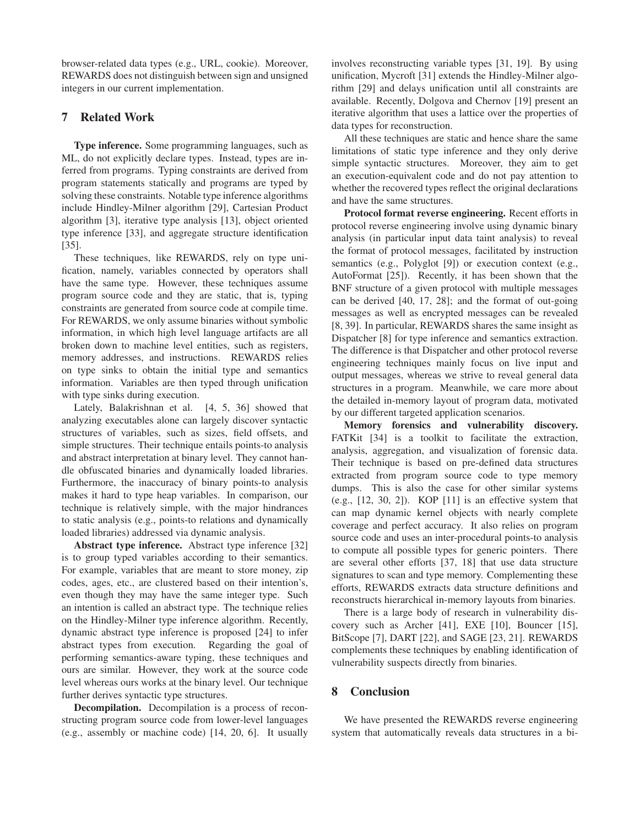browser-related data types (e.g., URL, cookie). Moreover, REWARDS does not distinguish between sign and unsigned integers in our current implementation.

## **7 Related Work**

**Type inference.** Some programming languages, such as ML, do not explicitly declare types. Instead, types are inferred from programs. Typing constraints are derived from program statements statically and programs are typed by solving these constraints. Notable type inference algorithms include Hindley-Milner algorithm [29], Cartesian Product algorithm [3], iterative type analysis [13], object oriented type inference [33], and aggregate structure identification [35].

These techniques, like REWARDS, rely on type unification, namely, variables connected by operators shall have the same type. However, these techniques assume program source code and they are static, that is, typing constraints are generated from source code at compile time. For REWARDS, we only assume binaries without symbolic information, in which high level language artifacts are all broken down to machine level entities, such as registers, memory addresses, and instructions. REWARDS relies on type sinks to obtain the initial type and semantics information. Variables are then typed through unification with type sinks during execution.

Lately, Balakrishnan et al. [4, 5, 36] showed that analyzing executables alone can largely discover syntactic structures of variables, such as sizes, field offsets, and simple structures. Their technique entails points-to analysis and abstract interpretation at binary level. They cannot handle obfuscated binaries and dynamically loaded libraries. Furthermore, the inaccuracy of binary points-to analysis makes it hard to type heap variables. In comparison, our technique is relatively simple, with the major hindrances to static analysis (e.g., points-to relations and dynamically loaded libraries) addressed via dynamic analysis.

**Abstract type inference.** Abstract type inference [32] is to group typed variables according to their semantics. For example, variables that are meant to store money, zip codes, ages, etc., are clustered based on their intention's, even though they may have the same integer type. Such an intention is called an abstract type. The technique relies on the Hindley-Milner type inference algorithm. Recently, dynamic abstract type inference is proposed [24] to infer abstract types from execution. Regarding the goal of performing semantics-aware typing, these techniques and ours are similar. However, they work at the source code level whereas ours works at the binary level. Our technique further derives syntactic type structures.

**Decompilation.** Decompilation is a process of reconstructing program source code from lower-level languages (e.g., assembly or machine code) [14, 20, 6]. It usually involves reconstructing variable types [31, 19]. By using unification, Mycroft [31] extends the Hindley-Milner algorithm [29] and delays unification until all constraints are available. Recently, Dolgova and Chernov [19] present an iterative algorithm that uses a lattice over the properties of data types for reconstruction.

All these techniques are static and hence share the same limitations of static type inference and they only derive simple syntactic structures. Moreover, they aim to get an execution-equivalent code and do not pay attention to whether the recovered types reflect the original declarations and have the same structures.

**Protocol format reverse engineering.** Recent efforts in protocol reverse engineering involve using dynamic binary analysis (in particular input data taint analysis) to reveal the format of protocol messages, facilitated by instruction semantics (e.g., Polyglot [9]) or execution context (e.g., AutoFormat [25]). Recently, it has been shown that the BNF structure of a given protocol with multiple messages can be derived [40, 17, 28]; and the format of out-going messages as well as encrypted messages can be revealed [8, 39]. In particular, REWARDS shares the same insight as Dispatcher [8] for type inference and semantics extraction. The difference is that Dispatcher and other protocol reverse engineering techniques mainly focus on live input and output messages, whereas we strive to reveal general data structures in a program. Meanwhile, we care more about the detailed in-memory layout of program data, motivated by our different targeted application scenarios.

**Memory forensics and vulnerability discovery.** FATKit [34] is a toolkit to facilitate the extraction, analysis, aggregation, and visualization of forensic data. Their technique is based on pre-defined data structures extracted from program source code to type memory dumps. This is also the case for other similar systems  $(e.g., [12, 30, 2])$ . KOP [11] is an effective system that can map dynamic kernel objects with nearly complete coverage and perfect accuracy. It also relies on program source code and uses an inter-procedural points-to analysis to compute all possible types for generic pointers. There are several other efforts [37, 18] that use data structure signatures to scan and type memory. Complementing these efforts, REWARDS extracts data structure definitions and reconstructs hierarchical in-memory layouts from binaries.

There is a large body of research in vulnerability discovery such as Archer [41], EXE [10], Bouncer [15], BitScope [7], DART [22], and SAGE [23, 21]. REWARDS complements these techniques by enabling identification of vulnerability suspects directly from binaries.

## **8 Conclusion**

We have presented the REWARDS reverse engineering system that automatically reveals data structures in a bi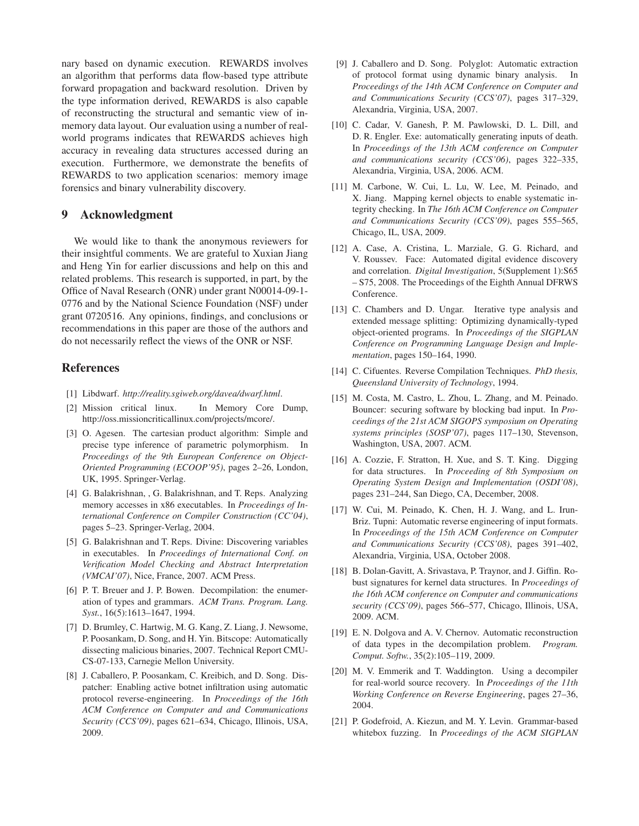nary based on dynamic execution. REWARDS involves an algorithm that performs data flow-based type attribute forward propagation and backward resolution. Driven by the type information derived, REWARDS is also capable of reconstructing the structural and semantic view of inmemory data layout. Our evaluation using a number of realworld programs indicates that REWARDS achieves high accuracy in revealing data structures accessed during an execution. Furthermore, we demonstrate the benefits of REWARDS to two application scenarios: memory image forensics and binary vulnerability discovery.

## **9 Acknowledgment**

We would like to thank the anonymous reviewers for their insightful comments. We are grateful to Xuxian Jiang and Heng Yin for earlier discussions and help on this and related problems. This research is supported, in part, by the Office of Naval Research (ONR) under grant N00014-09-1- 0776 and by the National Science Foundation (NSF) under grant 0720516. Any opinions, findings, and conclusions or recommendations in this paper are those of the authors and do not necessarily reflect the views of the ONR or NSF.

## **References**

- [1] Libdwarf. *http://reality.sgiweb.org/davea/dwarf.html*.
- [2] Mission critical linux. In Memory Core Dump, http://oss.missioncriticallinux.com/projects/mcore/.
- [3] O. Agesen. The cartesian product algorithm: Simple and precise type inference of parametric polymorphism. In *Proceedings of the 9th European Conference on Object-Oriented Programming (ECOOP'95)*, pages 2–26, London, UK, 1995. Springer-Verlag.
- [4] G. Balakrishnan, , G. Balakrishnan, and T. Reps. Analyzing memory accesses in x86 executables. In *Proceedings of International Conference on Compiler Construction (CC'04)*, pages 5–23. Springer-Verlag, 2004.
- [5] G. Balakrishnan and T. Reps. Divine: Discovering variables in executables. In *Proceedings of International Conf. on Verification Model Checking and Abstract Interpretation (VMCAI'07)*, Nice, France, 2007. ACM Press.
- [6] P. T. Breuer and J. P. Bowen. Decompilation: the enumeration of types and grammars. *ACM Trans. Program. Lang. Syst.*, 16(5):1613–1647, 1994.
- [7] D. Brumley, C. Hartwig, M. G. Kang, Z. Liang, J. Newsome, P. Poosankam, D. Song, and H. Yin. Bitscope: Automatically dissecting malicious binaries, 2007. Technical Report CMU-CS-07-133, Carnegie Mellon University.
- [8] J. Caballero, P. Poosankam, C. Kreibich, and D. Song. Dispatcher: Enabling active botnet infiltration using automatic protocol reverse-engineering. In *Proceedings of the 16th ACM Conference on Computer and and Communications Security (CCS'09)*, pages 621–634, Chicago, Illinois, USA, 2009.
- [9] J. Caballero and D. Song. Polyglot: Automatic extraction of protocol format using dynamic binary analysis. In *Proceedings of the 14th ACM Conference on Computer and and Communications Security (CCS'07)*, pages 317–329, Alexandria, Virginia, USA, 2007.
- [10] C. Cadar, V. Ganesh, P. M. Pawlowski, D. L. Dill, and D. R. Engler. Exe: automatically generating inputs of death. In *Proceedings of the 13th ACM conference on Computer and communications security (CCS'06)*, pages 322–335, Alexandria, Virginia, USA, 2006. ACM.
- [11] M. Carbone, W. Cui, L. Lu, W. Lee, M. Peinado, and X. Jiang. Mapping kernel objects to enable systematic integrity checking. In *The 16th ACM Conference on Computer and Communications Security (CCS'09)*, pages 555–565, Chicago, IL, USA, 2009.
- [12] A. Case, A. Cristina, L. Marziale, G. G. Richard, and V. Roussev. Face: Automated digital evidence discovery and correlation. *Digital Investigation*, 5(Supplement 1):S65 – S75, 2008. The Proceedings of the Eighth Annual DFRWS Conference.
- [13] C. Chambers and D. Ungar. Iterative type analysis and extended message splitting: Optimizing dynamically-typed object-oriented programs. In *Proceedings of the SIGPLAN Conference on Programming Language Design and Implementation*, pages 150–164, 1990.
- [14] C. Cifuentes. Reverse Compilation Techniques. *PhD thesis, Queensland University of Technology*, 1994.
- [15] M. Costa, M. Castro, L. Zhou, L. Zhang, and M. Peinado. Bouncer: securing software by blocking bad input. In *Proceedings of the 21st ACM SIGOPS symposium on Operating systems principles (SOSP'07)*, pages 117–130, Stevenson, Washington, USA, 2007. ACM.
- [16] A. Cozzie, F. Stratton, H. Xue, and S. T. King. Digging for data structures. In *Proceeding of 8th Symposium on Operating System Design and Implementation (OSDI'08)*, pages 231–244, San Diego, CA, December, 2008.
- [17] W. Cui, M. Peinado, K. Chen, H. J. Wang, and L. Irun-Briz. Tupni: Automatic reverse engineering of input formats. In *Proceedings of the 15th ACM Conference on Computer and Communications Security (CCS'08)*, pages 391–402, Alexandria, Virginia, USA, October 2008.
- [18] B. Dolan-Gavitt, A. Srivastava, P. Traynor, and J. Giffin. Robust signatures for kernel data structures. In *Proceedings of the 16th ACM conference on Computer and communications security (CCS'09)*, pages 566–577, Chicago, Illinois, USA, 2009. ACM.
- [19] E. N. Dolgova and A. V. Chernov. Automatic reconstruction of data types in the decompilation problem. *Program. Comput. Softw.*, 35(2):105–119, 2009.
- [20] M. V. Emmerik and T. Waddington. Using a decompiler for real-world source recovery. In *Proceedings of the 11th Working Conference on Reverse Engineering*, pages 27–36, 2004.
- [21] P. Godefroid, A. Kiezun, and M. Y. Levin. Grammar-based whitebox fuzzing. In *Proceedings of the ACM SIGPLAN*